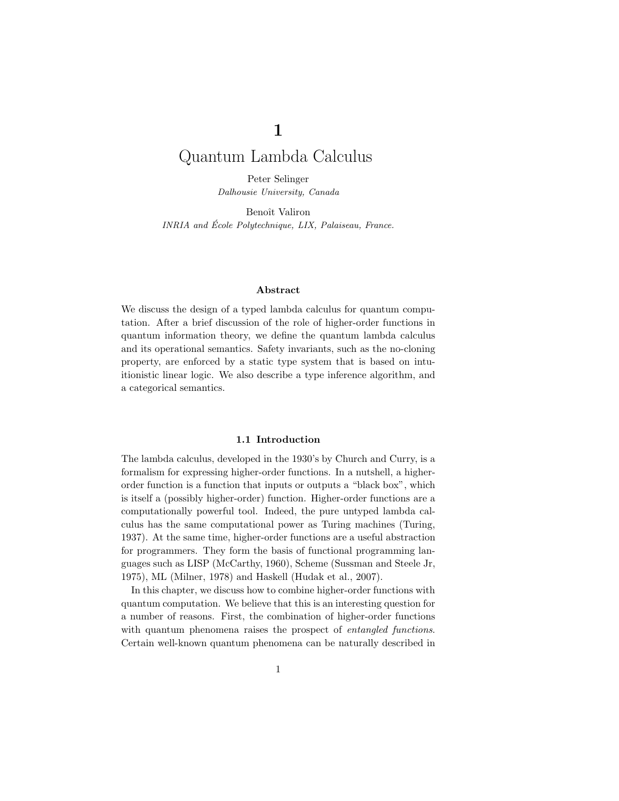# 1

# Quantum Lambda Calculus

Peter Selinger *Dalhousie University, Canada*

Benoît Valiron *INRIA and Ecole Polytechnique, LIX, Palaiseau, France. ´*

#### Abstract

We discuss the design of a typed lambda calculus for quantum computation. After a brief discussion of the role of higher-order functions in quantum information theory, we define the quantum lambda calculus and its operational semantics. Safety invariants, such as the no-cloning property, are enforced by a static type system that is based on intuitionistic linear logic. We also describe a type inference algorithm, and a categorical semantics.

#### 1.1 Introduction

The lambda calculus, developed in the 1930's by Church and Curry, is a formalism for expressing higher-order functions. In a nutshell, a higherorder function is a function that inputs or outputs a "black box", which is itself a (possibly higher-order) function. Higher-order functions are a computationally powerful tool. Indeed, the pure untyped lambda calculus has the same computational power as Turing machines (Turing, 1937). At the same time, higher-order functions are a useful abstraction for programmers. They form the basis of functional programming languages such as LISP (McCarthy, 1960), Scheme (Sussman and Steele Jr, 1975), ML (Milner, 1978) and Haskell (Hudak et al., 2007).

In this chapter, we discuss how to combine higher-order functions with quantum computation. We believe that this is an interesting question for a number of reasons. First, the combination of higher-order functions with quantum phenomena raises the prospect of *entangled functions*. Certain well-known quantum phenomena can be naturally described in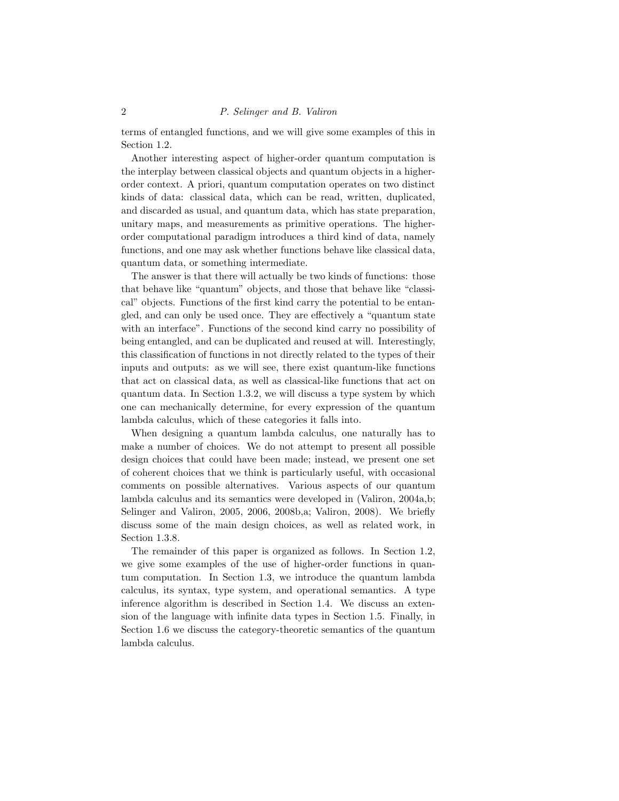terms of entangled functions, and we will give some examples of this in Section 1.2.

Another interesting aspect of higher-order quantum computation is the interplay between classical objects and quantum objects in a higherorder context. A priori, quantum computation operates on two distinct kinds of data: classical data, which can be read, written, duplicated, and discarded as usual, and quantum data, which has state preparation, unitary maps, and measurements as primitive operations. The higherorder computational paradigm introduces a third kind of data, namely functions, and one may ask whether functions behave like classical data, quantum data, or something intermediate.

The answer is that there will actually be two kinds of functions: those that behave like "quantum" objects, and those that behave like "classical" objects. Functions of the first kind carry the potential to be entangled, and can only be used once. They are effectively a "quantum state with an interface". Functions of the second kind carry no possibility of being entangled, and can be duplicated and reused at will. Interestingly, this classification of functions in not directly related to the types of their inputs and outputs: as we will see, there exist quantum-like functions that act on classical data, as well as classical-like functions that act on quantum data. In Section 1.3.2, we will discuss a type system by which one can mechanically determine, for every expression of the quantum lambda calculus, which of these categories it falls into.

When designing a quantum lambda calculus, one naturally has to make a number of choices. We do not attempt to present all possible design choices that could have been made; instead, we present one set of coherent choices that we think is particularly useful, with occasional comments on possible alternatives. Various aspects of our quantum lambda calculus and its semantics were developed in (Valiron, 2004a,b; Selinger and Valiron, 2005, 2006, 2008b,a; Valiron, 2008). We briefly discuss some of the main design choices, as well as related work, in Section 1.3.8.

The remainder of this paper is organized as follows. In Section 1.2, we give some examples of the use of higher-order functions in quantum computation. In Section 1.3, we introduce the quantum lambda calculus, its syntax, type system, and operational semantics. A type inference algorithm is described in Section 1.4. We discuss an extension of the language with infinite data types in Section 1.5. Finally, in Section 1.6 we discuss the category-theoretic semantics of the quantum lambda calculus.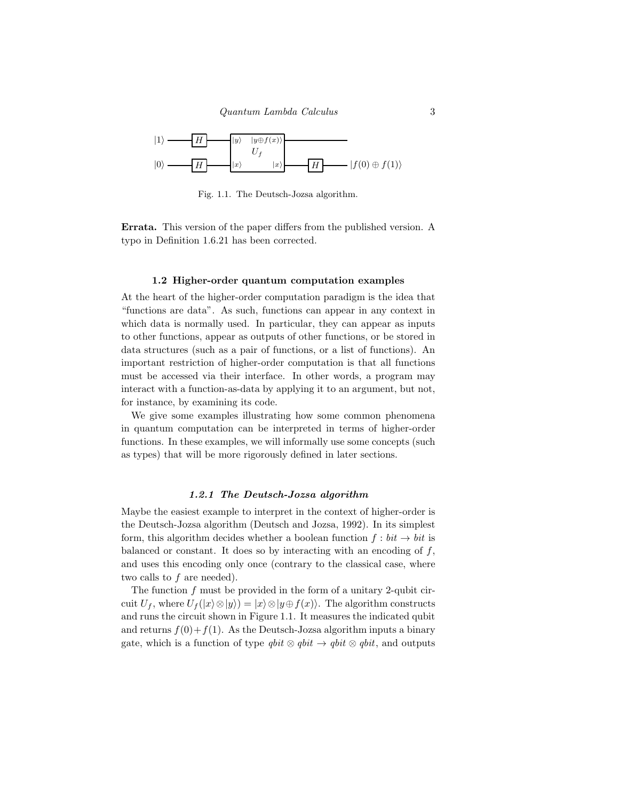

Fig. 1.1. The Deutsch-Jozsa algorithm.

Errata. This version of the paper differs from the published version. A typo in Definition 1.6.21 has been corrected.

#### 1.2 Higher-order quantum computation examples

At the heart of the higher-order computation paradigm is the idea that "functions are data". As such, functions can appear in any context in which data is normally used. In particular, they can appear as inputs to other functions, appear as outputs of other functions, or be stored in data structures (such as a pair of functions, or a list of functions). An important restriction of higher-order computation is that all functions must be accessed via their interface. In other words, a program may interact with a function-as-data by applying it to an argument, but not, for instance, by examining its code.

We give some examples illustrating how some common phenomena in quantum computation can be interpreted in terms of higher-order functions. In these examples, we will informally use some concepts (such as types) that will be more rigorously defined in later sections.

#### *1.2.1 The Deutsch-Jozsa algorithm*

Maybe the easiest example to interpret in the context of higher-order is the Deutsch-Jozsa algorithm (Deutsch and Jozsa, 1992). In its simplest form, this algorithm decides whether a boolean function  $f : bit \rightarrow bit$  is balanced or constant. It does so by interacting with an encoding of  $f$ , and uses this encoding only once (contrary to the classical case, where two calls to  $f$  are needed).

The function  $f$  must be provided in the form of a unitary 2-qubit circuit  $U_f$ , where  $U_f(|x\rangle \otimes |y\rangle) = |x\rangle \otimes |y \oplus f(x)\rangle$ . The algorithm constructs and runs the circuit shown in Figure 1.1. It measures the indicated qubit and returns  $f(0) + f(1)$ . As the Deutsch-Jozsa algorithm inputs a binary gate, which is a function of type  $qbit \otimes qbit \rightarrow qbit \otimes qbit$ , and outputs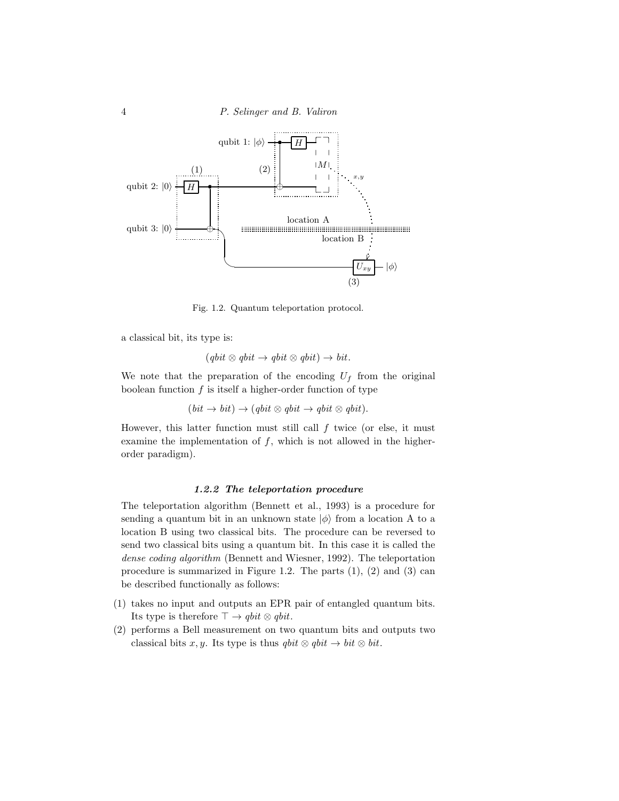

Fig. 1.2. Quantum teleportation protocol.

a classical bit, its type is:

$$
(qbit \otimes qbit \rightarrow qbit \otimes qbit) \rightarrow bit.
$$

We note that the preparation of the encoding  $U_f$  from the original boolean function  $f$  is itself a higher-order function of type

 $(bit \rightarrow bit) \rightarrow (qbit \otimes qbit \rightarrow qbit \otimes qbit).$ 

However, this latter function must still call  $f$  twice (or else, it must examine the implementation of  $f$ , which is not allowed in the higherorder paradigm).

#### *1.2.2 The teleportation procedure*

The teleportation algorithm (Bennett et al., 1993) is a procedure for sending a quantum bit in an unknown state  $|\phi\rangle$  from a location A to a location B using two classical bits. The procedure can be reversed to send two classical bits using a quantum bit. In this case it is called the *dense coding algorithm* (Bennett and Wiesner, 1992). The teleportation procedure is summarized in Figure 1.2. The parts  $(1)$ ,  $(2)$  and  $(3)$  can be described functionally as follows:

- (1) takes no input and outputs an EPR pair of entangled quantum bits. Its type is therefore ⊤ → *qbit* ⊗ *qbit*.
- (2) performs a Bell measurement on two quantum bits and outputs two classical bits x, y. Its type is thus  $qbit \otimes qbit \rightarrow bit \otimes bit$ .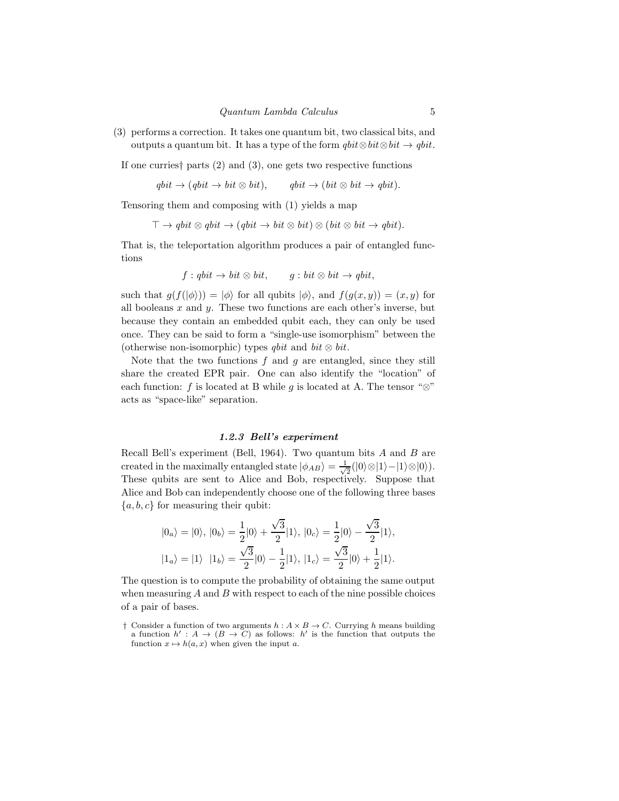(3) performs a correction. It takes one quantum bit, two classical bits, and outputs a quantum bit. It has a type of the form  $qbit \otimes bit \otimes bit \rightarrow qbit$ .

If one curries† parts (2) and (3), one gets two respective functions

 $qbit \rightarrow (qbit \rightarrow bit \otimes bit),$   $qbit \rightarrow (bit \otimes bit \rightarrow qbit).$ 

Tensoring them and composing with (1) yields a map

$$
\top \to qbit \otimes qbit \to (qbit \to bit \otimes bit) \otimes (bit \otimes bit \to qbit).
$$

That is, the teleportation algorithm produces a pair of entangled functions

$$
f: qbit \to bit \otimes bit, \qquad g: bit \otimes bit \to qbit,
$$

such that  $g(f(|\phi\rangle)) = |\phi\rangle$  for all qubits  $|\phi\rangle$ , and  $f(g(x, y)) = (x, y)$  for all booleans  $x$  and  $y$ . These two functions are each other's inverse, but because they contain an embedded qubit each, they can only be used once. They can be said to form a "single-use isomorphism" between the (otherwise non-isomorphic) types *qbit* and *bit* ⊗ *bit*.

Note that the two functions  $f$  and  $g$  are entangled, since they still share the created EPR pair. One can also identify the "location" of each function: f is located at B while q is located at A. The tensor " $\otimes$ " acts as "space-like" separation.

#### *1.2.3 Bell's experiment*

Recall Bell's experiment (Bell, 1964). Two quantum bits A and B are created in the maximally entangled state  $|\phi_{AB}\rangle = \frac{1}{\sqrt{2}}$  $\frac{1}{2}(|0\rangle \otimes |1\rangle - |1\rangle \otimes |0\rangle).$ These qubits are sent to Alice and Bob, respectively. Suppose that Alice and Bob can independently choose one of the following three bases  ${a, b, c}$  for measuring their qubit:

$$
|0_a\rangle = |0\rangle, |0_b\rangle = \frac{1}{2}|0\rangle + \frac{\sqrt{3}}{2}|1\rangle, |0_c\rangle = \frac{1}{2}|0\rangle - \frac{\sqrt{3}}{2}|1\rangle,
$$
  

$$
|1_a\rangle = |1\rangle, |1_b\rangle = \frac{\sqrt{3}}{2}|0\rangle - \frac{1}{2}|1\rangle, |1_c\rangle = \frac{\sqrt{3}}{2}|0\rangle + \frac{1}{2}|1\rangle.
$$

The question is to compute the probability of obtaining the same output when measuring  $A$  and  $B$  with respect to each of the nine possible choices of a pair of bases.

<sup>†</sup> Consider a function of two arguments  $h : A \times B \to C$ . Currying h means building a function  $h' : A \to (B \to C)$  as follows: h' is the function that outputs the function  $x \mapsto h(a, x)$  when given the input a.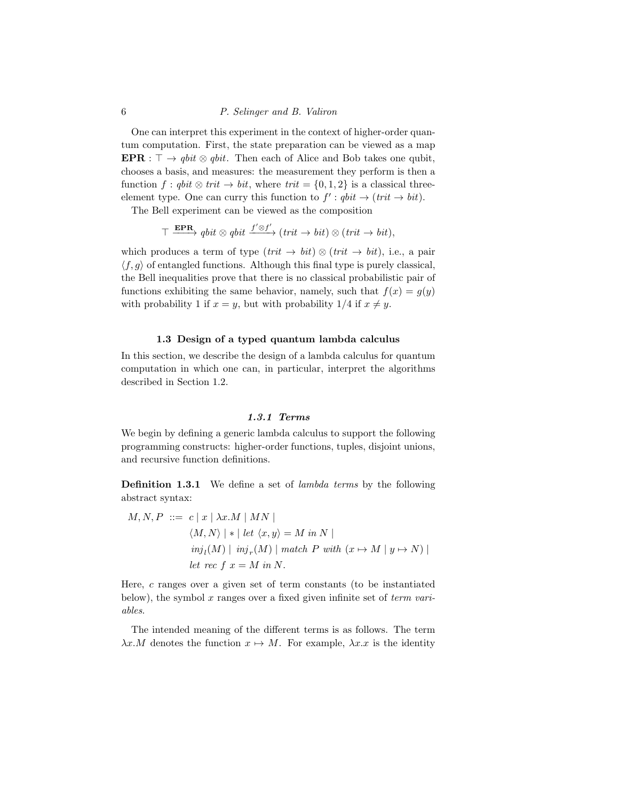One can interpret this experiment in the context of higher-order quantum computation. First, the state preparation can be viewed as a map **EPR** :  $\top \rightarrow qbit \otimes qbit$ . Then each of Alice and Bob takes one qubit, chooses a basis, and measures: the measurement they perform is then a function  $f : qbit \otimes trit \rightarrow bit$ , where  $trit = \{0, 1, 2\}$  is a classical threeelement type. One can curry this function to  $f' : qbit \rightarrow (trit \rightarrow bit)$ .

The Bell experiment can be viewed as the composition

$$
\top \xrightarrow{\textbf{EPR}} qbit \otimes qbit \xrightarrow{f' \otimes f'} (trit \to bit) \otimes (trit \to bit),
$$

which produces a term of type  $(trit \rightarrow bit) \otimes (trit \rightarrow bit)$ , i.e., a pair  $\langle f, g \rangle$  of entangled functions. Although this final type is purely classical, the Bell inequalities prove that there is no classical probabilistic pair of functions exhibiting the same behavior, namely, such that  $f(x) = q(y)$ with probability 1 if  $x = y$ , but with probability  $1/4$  if  $x \neq y$ .

#### 1.3 Design of a typed quantum lambda calculus

In this section, we describe the design of a lambda calculus for quantum computation in which one can, in particular, interpret the algorithms described in Section 1.2.

# *1.3.1 Terms*

We begin by defining a generic lambda calculus to support the following programming constructs: higher-order functions, tuples, disjoint unions, and recursive function definitions.

Definition 1.3.1 We define a set of *lambda terms* by the following abstract syntax:

$$
M, N, P ::= c | x | \lambda x.M | MN |
$$
  
\n
$$
\langle M, N \rangle | * | let \langle x, y \rangle = M in N |
$$
  
\n
$$
inj_{l}(M) | inj_{r}(M) | match P with (x \rightarrow M | y \rightarrow N) |
$$
  
\n
$$
let rec f x = M in N.
$$

Here, c ranges over a given set of term constants (to be instantiated below), the symbol x ranges over a fixed given infinite set of *term variables*.

The intended meaning of the different terms is as follows. The term  $\lambda x.M$  denotes the function  $x \mapsto M$ . For example,  $\lambda x.x$  is the identity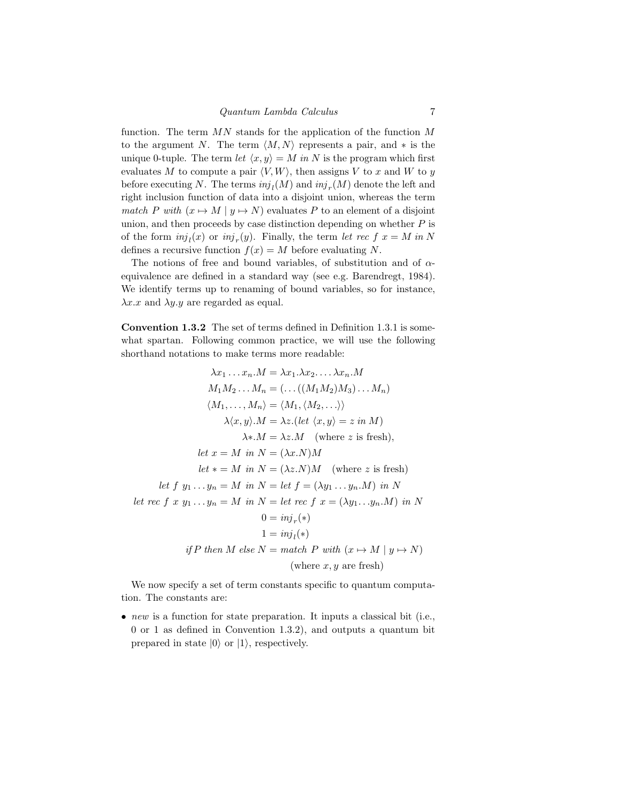function. The term  $MN$  stands for the application of the function  $M$ to the argument N. The term  $\langle M, N \rangle$  represents a pair, and  $*$  is the unique 0-tuple. The term *let*  $\langle x, y \rangle = M$  *in* N is the program which first evaluates M to compute a pair  $\langle V, W \rangle$ , then assigns V to x and W to y before executing N. The terms  $\frac{inj_l(M)}{M}$  and  $\frac{inj_r(M)}{M}$  denote the left and right inclusion function of data into a disjoint union, whereas the term *match* P with  $(x \mapsto M \mid y \mapsto N)$  evaluates P to an element of a disjoint union, and then proceeds by case distinction depending on whether  $P$  is of the form  $inj_l(x)$  or  $inj_r(y)$ . Finally, the term *let rec*  $f$   $x = M$  *in* N defines a recursive function  $f(x) = M$  before evaluating N.

The notions of free and bound variables, of substitution and of  $\alpha$ equivalence are defined in a standard way (see e.g. Barendregt, 1984). We identify terms up to renaming of bound variables, so for instance,  $\lambda x.x$  and  $\lambda y.y$  are regarded as equal.

Convention 1.3.2 The set of terms defined in Definition 1.3.1 is somewhat spartan. Following common practice, we will use the following shorthand notations to make terms more readable:

$$
\lambda x_1 \dots x_n.M = \lambda x_1.\lambda x_2 \dots \lambda x_n.M
$$
  
\n
$$
M_1M_2 \dots M_n = (\dots((M_1M_2)M_3) \dots M_n)
$$
  
\n
$$
\langle M_1, \dots, M_n \rangle = \langle M_1, \langle M_2, \dots \rangle \rangle
$$
  
\n
$$
\lambda \langle x, y \rangle.M = \lambda z.(let \langle x, y \rangle = z \text{ in } M)
$$
  
\n
$$
\lambda *.M = \lambda z.M \quad \text{(where } z \text{ is fresh)},
$$
  
\nlet  $x = M$  in  $N = (\lambda x.N)M$   
\nlet  $x = M$  in  $N = (\lambda z.N)M$  (where  $z$  is fresh)  
\nlet  $f y_1 \dots y_n = M$  in  $N = let f = (\lambda y_1 \dots y_n.M)$  in  $N$   
\nlet rec  $f x y_1 \dots y_n = M$  in  $N = let rec f x = (\lambda y_1 \dots y_n.M)$  in  $N$   
\n $0 = inj_r(*)$   
\n $1 = inj_l(*)$   
\nif  $P$  then  $M$  else  $N = match P$  with  $(x \mapsto M \mid y \mapsto N)$   
\n(where  $x, y$  are fresh)

We now specify a set of term constants specific to quantum computation. The constants are:

• *new* is a function for state preparation. It inputs a classical bit (i.e., 0 or 1 as defined in Convention 1.3.2), and outputs a quantum bit prepared in state  $|0\rangle$  or  $|1\rangle$ , respectively.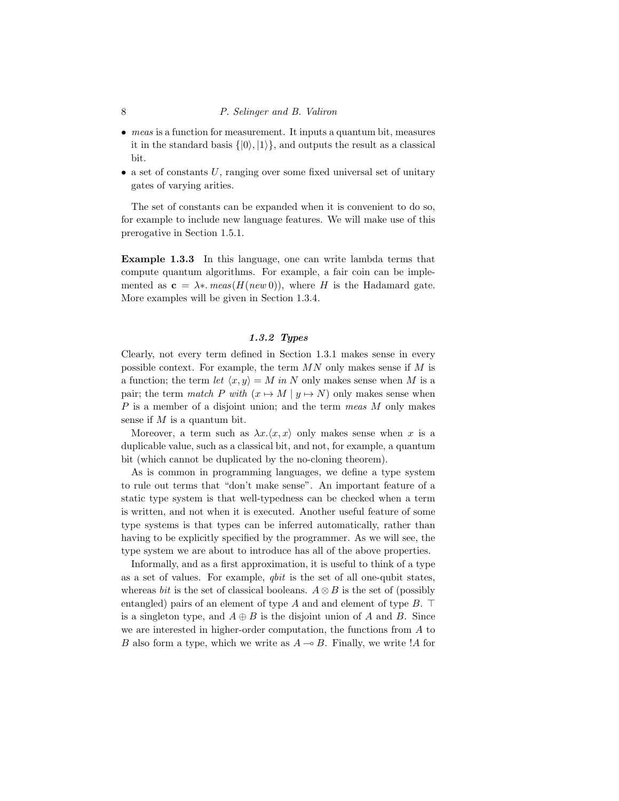- *meas* is a function for measurement. It inputs a quantum bit, measures it in the standard basis  $\{|0\rangle, |1\rangle\}$ , and outputs the result as a classical bit.
- a set of constants  $U$ , ranging over some fixed universal set of unitary gates of varying arities.

The set of constants can be expanded when it is convenient to do so, for example to include new language features. We will make use of this prerogative in Section 1.5.1.

Example 1.3.3 In this language, one can write lambda terms that compute quantum algorithms. For example, a fair coin can be implemented as  $\mathbf{c} = \lambda * \mathbf{v} \cdot \text{meas}(H(\text{new 0})),$  where H is the Hadamard gate. More examples will be given in Section 1.3.4.

### *1.3.2 Types*

Clearly, not every term defined in Section 1.3.1 makes sense in every possible context. For example, the term  $MN$  only makes sense if  $M$  is a function; the term *let*  $\langle x, y \rangle = M$  *in* N only makes sense when M is a pair; the term *match* P with  $(x \mapsto M \mid y \mapsto N)$  only makes sense when P is a member of a disjoint union; and the term *meas* M only makes sense if  $M$  is a quantum bit.

Moreover, a term such as  $\lambda x.\langle x,x \rangle$  only makes sense when x is a duplicable value, such as a classical bit, and not, for example, a quantum bit (which cannot be duplicated by the no-cloning theorem).

As is common in programming languages, we define a type system to rule out terms that "don't make sense". An important feature of a static type system is that well-typedness can be checked when a term is written, and not when it is executed. Another useful feature of some type systems is that types can be inferred automatically, rather than having to be explicitly specified by the programmer. As we will see, the type system we are about to introduce has all of the above properties.

Informally, and as a first approximation, it is useful to think of a type as a set of values. For example, *qbit* is the set of all one-qubit states, whereas *bit* is the set of classical booleans.  $A \otimes B$  is the set of (possibly entangled) pairs of an element of type A and and element of type  $B$ . ⊤ is a singleton type, and  $A \oplus B$  is the disjoint union of A and B. Since we are interested in higher-order computation, the functions from A to B also form a type, which we write as  $A \rightarrow B$ . Finally, we write !A for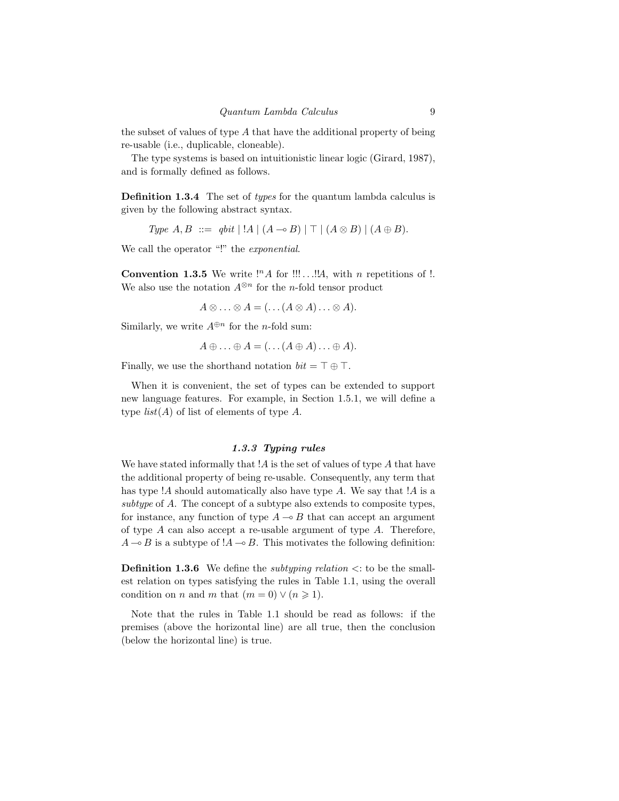the subset of values of type  $A$  that have the additional property of being re-usable (i.e., duplicable, cloneable).

The type systems is based on intuitionistic linear logic (Girard, 1987), and is formally defined as follows.

Definition 1.3.4 The set of *types* for the quantum lambda calculus is given by the following abstract syntax.

 $Type A, B ::= qbit \mid |A \mid (A \multimap B) \mid \top \mid (A \otimes B) \mid (A \oplus B).$ 

We call the operator "!" the *exponential*.

**Convention 1.3.5** We write  $\mathbb{I}^n A$  for  $\mathbb{II} \dots \mathbb{II} A$ , with n repetitions of  $\mathbb{I}$ . We also use the notation  $A^{\otimes n}$  for the *n*-fold tensor product

$$
A\otimes\ldots\otimes A=(\ldots(A\otimes A)\ldots\otimes A).
$$

Similarly, we write  $A^{\oplus n}$  for the *n*-fold sum:

$$
A\oplus\ldots\oplus A=(\ldots(A\oplus A)\ldots\oplus A).
$$

Finally, we use the shorthand notation  $bit = \top \oplus \top$ .

When it is convenient, the set of types can be extended to support new language features. For example, in Section 1.5.1, we will define a type  $list(A)$  of list of elements of type  $A$ .

#### *1.3.3 Typing rules*

We have stated informally that  $A$  is the set of values of type  $A$  that have the additional property of being re-usable. Consequently, any term that has type !A should automatically also have type A. We say that !A is a *subtype* of A. The concept of a subtype also extends to composite types, for instance, any function of type  $A \rightarrow B$  that can accept an argument of type A can also accept a re-usable argument of type A. Therefore,  $A \rightarrow B$  is a subtype of  $A \rightarrow B$ . This motivates the following definition:

Definition 1.3.6 We define the *subtyping relation* <: to be the smallest relation on types satisfying the rules in Table 1.1, using the overall condition on *n* and *m* that  $(m = 0) \vee (n \ge 1)$ .

Note that the rules in Table 1.1 should be read as follows: if the premises (above the horizontal line) are all true, then the conclusion (below the horizontal line) is true.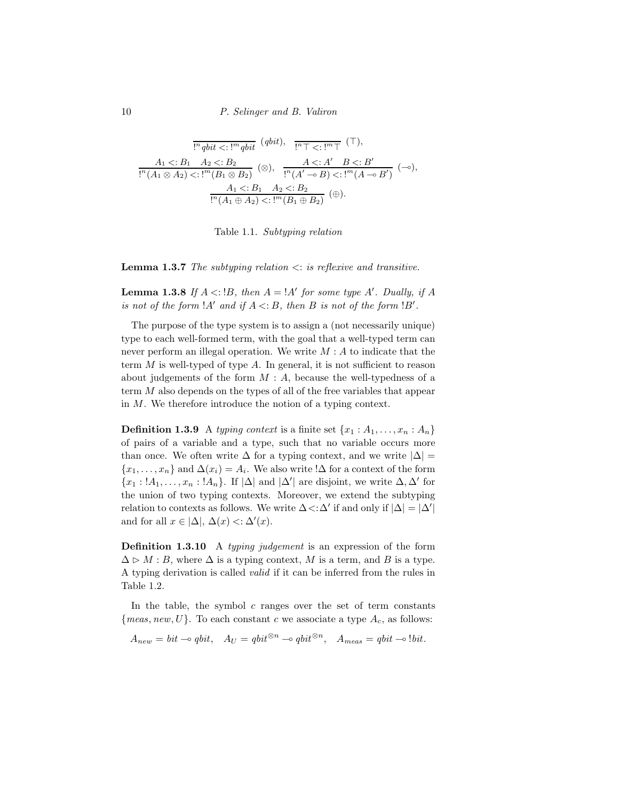$$
\frac{A_1 \leq B_1 \quad A_2 \leq B_2}{P(A_1 \otimes A_2) \leq P(B_2)} \quad (\otimes), \quad \frac{A \leq A' \quad B \leq B'}{P(A_1 \otimes A_2) \leq P(B_1 \otimes B_2)} \quad (\otimes), \quad \frac{A \leq A' \quad B \leq B'}{P(A' \rightarrow B) \leq P(A' \rightarrow B')} \quad (-\circ),
$$
\n
$$
\frac{A_1 \leq B_1 \quad A_2 \leq B_2}{P(A_1 \oplus A_2) \leq P(B_1 \oplus B_2)} \quad (\oplus).
$$

Table 1.1. *Subtyping relation*

Lemma 1.3.7 *The subtyping relation* <: *is reflexive and transitive.*

**Lemma 1.3.8** If  $A \leq B$ , then  $A = A'$  for some type A'. Dually, if A *is not of the form*  $A'$  *and if*  $A \leq B$ *, then*  $B$  *is not of the form*  $B'$ *.* 

The purpose of the type system is to assign a (not necessarily unique) type to each well-formed term, with the goal that a well-typed term can never perform an illegal operation. We write  $M : A$  to indicate that the term  $M$  is well-typed of type  $A$ . In general, it is not sufficient to reason about judgements of the form  $M : A$ , because the well-typedness of a term M also depends on the types of all of the free variables that appear in M. We therefore introduce the notion of a typing context.

**Definition 1.3.9** A *typing context* is a finite set  $\{x_1 : A_1, \ldots, x_n : A_n\}$ of pairs of a variable and a type, such that no variable occurs more than once. We often write  $\Delta$  for a typing context, and we write  $|\Delta|$  =  ${x_1, \ldots, x_n}$  and  $\Delta(x_i) = A_i$ . We also write ! $\Delta$  for a context of the form  ${x_1 : A_1, \ldots, x_n : A_n}$ . If  $|\Delta|$  and  $|\Delta'|$  are disjoint, we write  $\Delta, \Delta'$  for the union of two typing contexts. Moreover, we extend the subtyping relation to contexts as follows. We write  $\Delta \langle \cdot, \Delta' \rangle$  if and only if  $|\Delta| = |\Delta'|$ and for all  $x \in |\Delta|$ ,  $\Delta(x) < \Delta'(x)$ .

Definition 1.3.10 A *typing judgement* is an expression of the form  $\Delta \triangleright M : B$ , where  $\Delta$  is a typing context, M is a term, and B is a type. A typing derivation is called *valid* if it can be inferred from the rules in Table 1.2.

In the table, the symbol  $c$  ranges over the set of term constants  ${meas, new, U}$ . To each constant c we associate a type  $A_c$ , as follows:

$$
A_{new} = bit \multimap qbit, \quad A_U = qbit^{\otimes n} \multimap qbit^{\otimes n}, \quad A_{meas} = qbit \multimap !bit.
$$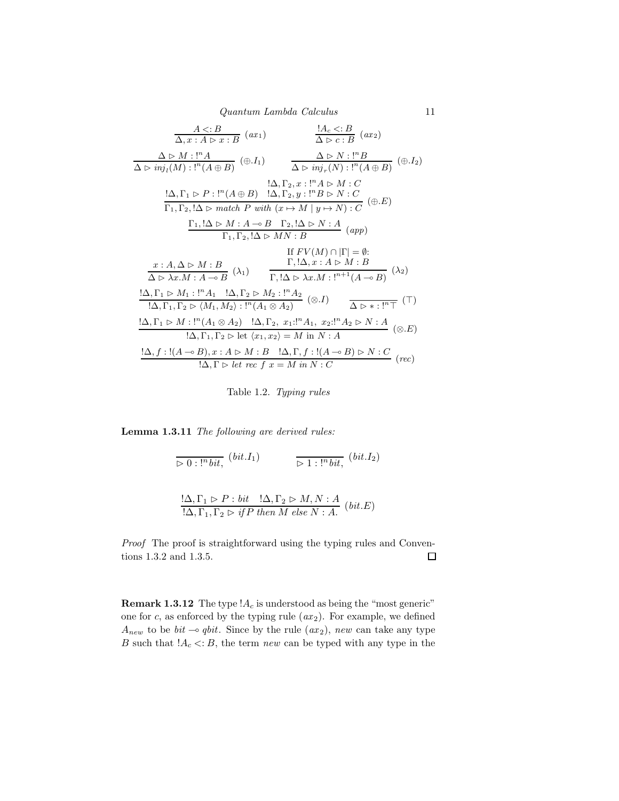*Quantum Lambda Calculus* 11

$$
\frac{A \leq: B}{\Delta, x : A \rhd x : B} (ax_1) \qquad \frac{1A_c \leq: B}{\Delta \rhd c : B} (ax_2)
$$
\n
$$
\frac{\Delta \rhd M : !^n A}{\Delta \rhd inj_l(M) : !^n (A \oplus B)} (\oplus I_1) \qquad \frac{\Delta \rhd N : !^n B}{\Delta \rhd inj_r(N) : !^n (A \oplus B)} (\oplus I_2)
$$
\n
$$
\frac{1\Delta, \Gamma_1 \rhd P : !^n (A \oplus B) \quad 1\Delta, \Gamma_2, y : !^n A \rhd M : C}{\Gamma_1, \Gamma_2, 1\Delta \rhd match P \text{ with } (x \mapsto M \mid y \mapsto N) : C} (\oplus E)
$$
\n
$$
\frac{\Gamma_1, 1\Delta \rhd M : A \multimap B \quad \Gamma_2, 1\Delta \rhd N : A}{\Gamma_1, \Gamma_2, 1\Delta \rhd MM : B} (app)
$$
\n
$$
\frac{x : A, \Delta \rhd M : B}{\Delta \rhd \lambda x . M : A \multimap B} (\lambda_1) \qquad \frac{\Gamma_1, 1\Delta, x : A \rhd M : B}{\Gamma_1, 1\Delta \rhd \lambda x . M : !^n (A \multimap B)} (\lambda_2)
$$
\n
$$
\frac{1\Delta, \Gamma_1 \rhd M_1 : !^n A_1 \quad 1\Delta, \Gamma_2 \rhd M_2 : !^n A_2}{\Gamma_1, 1\Delta \rhd \lambda x . M : !^{n+1} (A \multimap B)} (\lambda_2)
$$
\n
$$
\frac{1\Delta, \Gamma_1 \rhd M : !^n A_1 \quad 1\Delta, \Gamma_2 \rhd M_2 : !^n A_2}{\Gamma_1, \Gamma_2 \rhd (M_1, M_2) : !^n (A_1 \otimes A_2)} (\otimes I) \qquad \frac{\Delta \rhd \ast : !^n \top}{\Delta \rhd \ast : !^n \top} (\top)
$$
\n
$$
\frac{1\Delta, \Gamma_1 \rhd M : !^n (A_1 \otimes A_2) \quad 1\Delta, \Gamma_2, x_1 : !^n A_1, x_2 : !^n A_2 \rhd N : A}{\Gamma_1, 1\Delta, \Gamma_1, \Gamma_2 \rhd \text{let } (
$$

Table 1.2. *Typing rules*

Lemma 1.3.11 *The following are derived rules:*

$$
\overline{\triangleright} \ 0: \mathsf{!}^n \text{ bit}, \ (bit.I_1) \qquad \overline{\triangleright} \ 1: \mathsf{!}^n \text{ bit}, \ (bit.I_2)
$$

$$
\frac{!\Delta,\Gamma_1 \rhd P : bit \quad !\Delta,\Gamma_2 \rhd M, N : A}{;\Delta,\Gamma_1,\Gamma_2 \rhd if P then M else N : A} \quad (bit.E)
$$

*Proof* The proof is straightforward using the typing rules and Conventions 1.3.2 and 1.3.5.  $\Box$ 

**Remark 1.3.12** The type  $A_c$  is understood as being the "most generic" one for  $c$ , as enforced by the typing rule  $(ax<sub>2</sub>)$ . For example, we defined  $A_{new}$  to be *bit*  $\rightarrow$  *qbit*. Since by the rule  $(ax_2)$ , *new* can take any type B such that  $A_c < B$ , the term *new* can be typed with any type in the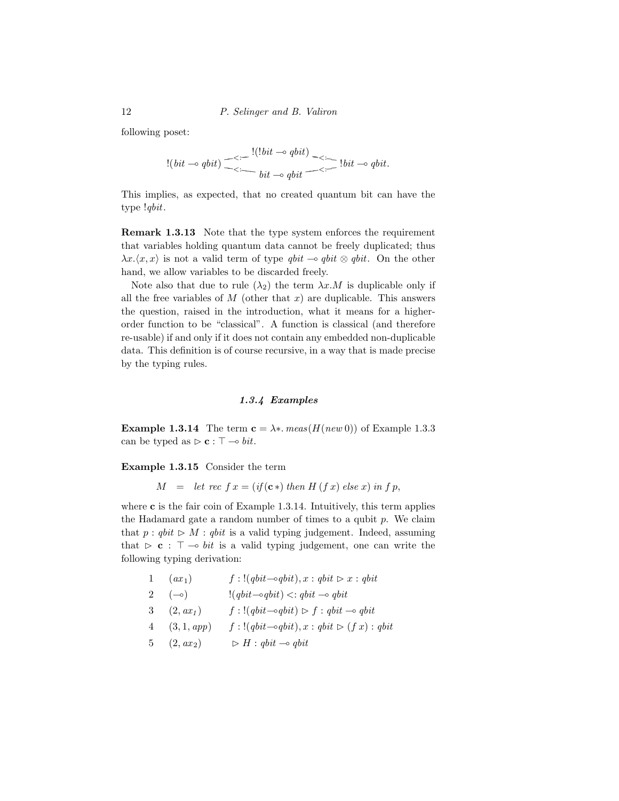following poset:

$$
!(bit \multimap qbit) \underbrace{-\langle \cdot, \cdot \cdot \rangle}_{\text{bit} \multimap qbit} \underbrace{! (bit \multimap qbit)}_{\text{bit} \multimap qbit} \underbrace{-\langle \cdot, \cdot \cdot \rangle}_{\text{bit} \multimap qbit}.
$$

This implies, as expected, that no created quantum bit can have the type !*qbit*.

Remark 1.3.13 Note that the type system enforces the requirement that variables holding quantum data cannot be freely duplicated; thus  $\lambda x.\langle x, x \rangle$  is not a valid term of type *qbit* ⊸ *qbit* ⊗ *qbit*. On the other hand, we allow variables to be discarded freely.

Note also that due to rule  $(\lambda_2)$  the term  $\lambda x.M$  is duplicable only if all the free variables of  $M$  (other that  $x$ ) are duplicable. This answers the question, raised in the introduction, what it means for a higherorder function to be "classical". A function is classical (and therefore re-usable) if and only if it does not contain any embedded non-duplicable data. This definition is of course recursive, in a way that is made precise by the typing rules.

### *1.3.4 Examples*

**Example 1.3.14** The term  $\mathbf{c} = \lambda * \cdot meas(H(new 0))$  of Example 1.3.3 can be typed as  $\rhd$  **c** :  $\top \neg$  *bit*.

Example 1.3.15 Consider the term

$$
M = let rec f x = (if(c*) then H(f x) else x) in f p,
$$

where  $c$  is the fair coin of Example 1.3.14. Intuitively, this term applies the Hadamard gate a random number of times to a qubit  $p$ . We claim that  $p : qbit \geq M : qbit$  is a valid typing judgement. Indeed, assuming that  $\rhd$  **c** :  $\top \neg$  *bit* is a valid typing judgement, one can write the following typing derivation:

| $1 \quad (ax_1)$    | $f$ : $!(qbit \rightarrow qbit), x : qbit \rhd x : qbit$             |
|---------------------|----------------------------------------------------------------------|
| 2 $(-\circ)$        | $!(qbit \neg oqbit) \leq qbit \neg oqbit$                            |
| 3 $(2, ax_1)$       | $f:!(qbit \rightarrow qbit) \triangleright f: qbit \rightarrow qbit$ |
| $4 \quad (3,1,app)$ | $f:!(qbit \rightarrow qbit), x: qbit \rhd (fx): qbit$                |
| 5 $(2, ax_2)$       | $\triangleright$ H : gbit $\multimap$ gbit                           |
|                     |                                                                      |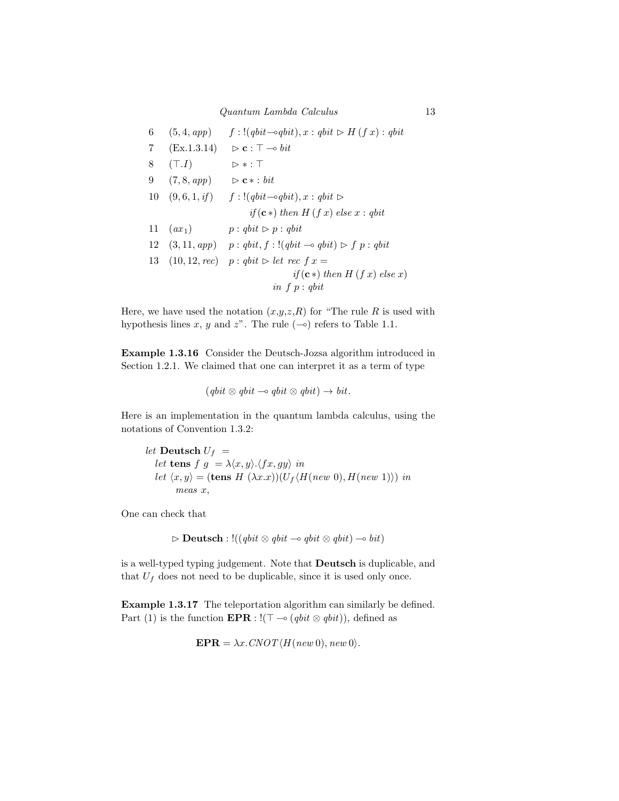*Quantum Lambda Calculus* 13

6 (5, 4, *app*)  $f : !(qbit \neg qbit), x : qbit \rhd H(fx) : qbit$ 7 (Ex.1.3.14) ⊳ **c** :  $\top \multimap bit$ 8 (⊤.*I*) ⊳ ∗ : ⊤ 9  $(7, 8, app)$   $\triangleright$  **c** $* : bit$ 10  $(9, 6, 1, if)$   $f : !(qbit \neg qbit), x : qbit \rhd$  $if(c*)$  *then*  $H(fx)$  *else*  $x : qbit$ 11  $(ax_1)$  p : *qbit* ⊳ p : *qbit* 12 (3, 11, *app*)  $p : qbit, f : !(qbit \multimap qbit) \triangleright f p : qbit$ 13 (10, 12, *rec*)  $p : qbit \geq let \text{rec } fx =$ *if*  $(c * )$  *then*  $H(f x)$  *else*  $x)$ *in* f p : *qbit*

Here, we have used the notation  $(x,y,z,R)$  for "The rule R is used with hypothesis lines x, y and z". The rule  $(-\circ)$  refers to Table 1.1.

Example 1.3.16 Consider the Deutsch-Jozsa algorithm introduced in Section 1.2.1. We claimed that one can interpret it as a term of type

 $(qbit \otimes qbit \rightarrow qbit \otimes qbit) \rightarrow bit.$ 

Here is an implementation in the quantum lambda calculus, using the notations of Convention 1.3.2:

*let* Deutsch  $U_f$  = let **tens**  $f \, g = \lambda \langle x, y \rangle \langle fx, gy \rangle$  *in* let  $\langle x, y \rangle$  = (tens H  $(\lambda x.x)(U_f \langle H(new 0), H(new 1) \rangle)$  *in meas* x,

One can check that

⊲ Deutsch : !((*qbit* ⊗ *qbit* ⊸ *qbit* ⊗ *qbit*) ⊸ *bit*)

is a well-typed typing judgement. Note that Deutsch is duplicable, and that  $U_f$  does not need to be duplicable, since it is used only once.

Example 1.3.17 The teleportation algorithm can similarly be defined. Part (1) is the function **EPR** : !(⊤ – $\circ$  (*qbit*  $\otimes$  *qbit*)), defined as

$$
EPR = \lambda x. CNOT \langle H(new 0), new 0 \rangle.
$$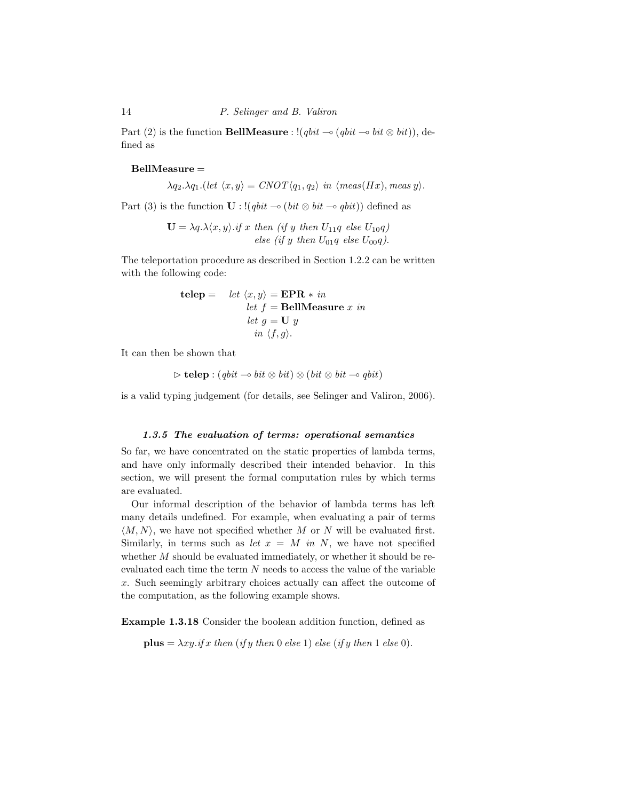Part (2) is the function **BellMeasure** :  $!(qbit \rightarrow (qbit \rightarrow bit \otimes bit))$ , defined as

#### BellMeasure =

 $\lambda q_2 \cdot \lambda q_1 \cdot (let \langle x, y \rangle = CNOT \langle q_1, q_2 \rangle \text{ in } \langle meas(Hx), meas y \rangle.$ 

Part (3) is the function  $\mathbf{U}$  : !(*qbit* ⊸ (*bit* ⊗ *bit* ⊸ *qbit*)) defined as

$$
\mathbf{U} = \lambda q. \lambda \langle x, y \rangle \text{ if } x \text{ then (if } y \text{ then } U_{11}q \text{ else } U_{10}q)
$$
  
else (if  $y \text{ then } U_{01}q$  else  $U_{00}q$ ).

The teleportation procedure as described in Section 1.2.2 can be written with the following code:

telep =

\n
$$
\begin{aligned}\n\text{let } \langle x, y \rangle &= \text{EPR} * in \\
\text{let } f &= \text{BellMeasure } x \text{ in} \\
\text{let } g &= \text{U } y \\
&= \text{in } \langle f, g \rangle.\n\end{aligned}
$$

It can then be shown that

 $\triangleright$  **telep** : (*qbit*  $\multimap$  *bit*  $\otimes$  *bit*)  $\otimes$  (*bit*  $\otimes$  *bit*  $\multimap$  *qbit*)

is a valid typing judgement (for details, see Selinger and Valiron, 2006).

#### *1.3.5 The evaluation of terms: operational semantics*

So far, we have concentrated on the static properties of lambda terms, and have only informally described their intended behavior. In this section, we will present the formal computation rules by which terms are evaluated.

Our informal description of the behavior of lambda terms has left many details undefined. For example, when evaluating a pair of terms  $\langle M, N \rangle$ , we have not specified whether M or N will be evaluated first. Similarly, in terms such as *let*  $x = M$  *in*  $N$ , we have not specified whether  $M$  should be evaluated immediately, or whether it should be reevaluated each time the term  $N$  needs to access the value of the variable x. Such seemingly arbitrary choices actually can affect the outcome of the computation, as the following example shows.

Example 1.3.18 Consider the boolean addition function, defined as

 $plus = \lambda xy.$ *if* x *then* (*if* y *then* 0 *else* 1) *else* (*if* y *then* 1 *else* 0).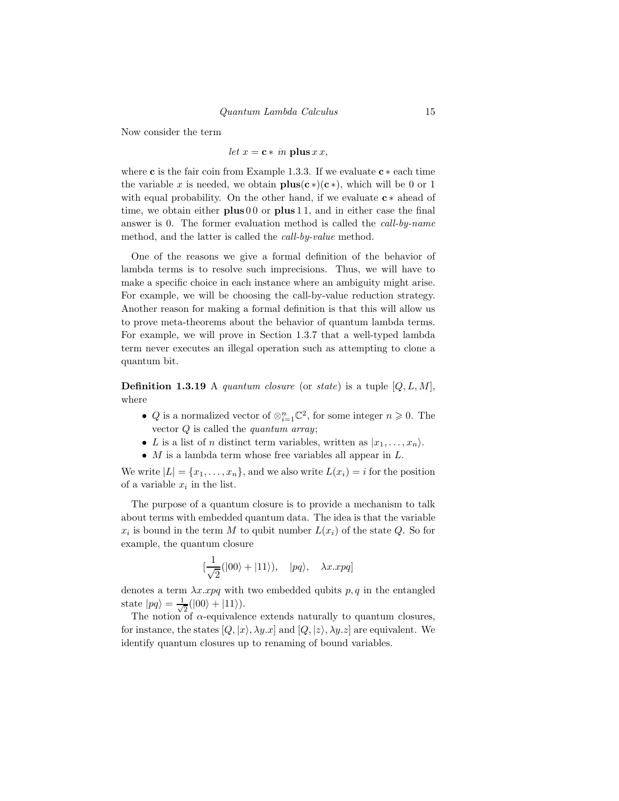Now consider the term

$$
let x = \mathbf{c} * in \, \mathbf{plus} \, x \, x,
$$

where c is the fair coin from Example 1.3.3. If we evaluate  $c *$  each time the variable x is needed, we obtain  $plus(c*)$  (c<sup>\*</sup>), which will be 0 or 1 with equal probability. On the other hand, if we evaluate  $c *$  ahead of time, we obtain either  $plus 00$  or  $plus 11$ , and in either case the final answer is 0. The former evaluation method is called the *call-by-name* method, and the latter is called the *call-by-value* method.

One of the reasons we give a formal definition of the behavior of lambda terms is to resolve such imprecisions. Thus, we will have to make a specific choice in each instance where an ambiguity might arise. For example, we will be choosing the call-by-value reduction strategy. Another reason for making a formal definition is that this will allow us to prove meta-theorems about the behavior of quantum lambda terms. For example, we will prove in Section 1.3.7 that a well-typed lambda term never executes an illegal operation such as attempting to clone a quantum bit.

**Definition 1.3.19** A *quantum closure* (or *state*) is a tuple  $[Q, L, M]$ , where

- Q is a normalized vector of  $\otimes_{i=1}^n \mathbb{C}^2$ , for some integer  $n \geq 0$ . The vector Q is called the *quantum array*;
- L is a list of n distinct term variables, written as  $|x_1, \ldots, x_n\rangle$ .
- $M$  is a lambda term whose free variables all appear in  $L$ .

We write  $|L| = \{x_1, \ldots, x_n\}$ , and we also write  $L(x_i) = i$  for the position of a variable  $x_i$  in the list.

The purpose of a quantum closure is to provide a mechanism to talk about terms with embedded quantum data. The idea is that the variable  $x_i$  is bound in the term M to qubit number  $L(x_i)$  of the state Q. So for example, the quantum closure

$$
[\frac{1}{\sqrt{2}}(|00\rangle + |11\rangle), \quad |pq\rangle, \quad \lambda x. xpq]
$$

denotes a term  $\lambda x.\text{xpq}$  with two embedded qubits  $p, q$  in the entangled state  $|pq\rangle = \frac{1}{\sqrt{2}}$  $\frac{1}{2}(|00\rangle + |11\rangle).$ 

The notion of  $\alpha$ -equivalence extends naturally to quantum closures, for instance, the states  $[Q, x\lambda, \lambda y.x]$  and  $[Q, z\lambda, \lambda y.z]$  are equivalent. We identify quantum closures up to renaming of bound variables.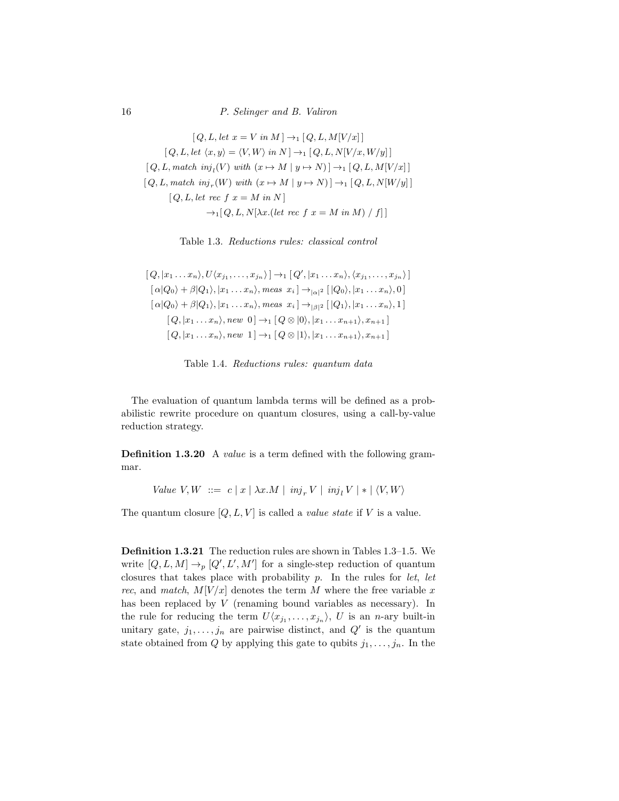$[ Q, L, let x = V \text{ in } M ] \rightarrow_1 [ Q, L, M [V/x] ]$  $[ Q, L, let \langle x, y \rangle = \langle V, W \rangle \text{ in } N ] \rightarrow_1 [ Q, L, N [ V / x, W / y ] ]$  $[Q, L, match \; inj<sub>l</sub>(V) \; with \; (x \mapsto M \mid y \mapsto N)] \rightarrow_1 [Q, L, M[V/x]]$  $[Q, L, match\ inj_r(W)\ with\ (x \mapsto M \mid y \mapsto N)] \rightarrow_1 [Q, L, N[W/y]]$  $[Q, L, let \trec \tfrac{f}{g}x = M \t{in} N]$  $\rightarrow_1[Q, L, N]\lambda x.$  (let rec f  $x = M$  in M) / f]



 $[Q, |x_1...x_n\rangle, U\langle x_{j_1},...,x_{j_n}\rangle] \rightarrow_1 [Q', |x_1...x_n\rangle, \langle x_{j_1},...,x_{j_n}\rangle]$  $[\alpha|Q_0\rangle + \beta|Q_1\rangle, |x_1 \dots x_n\rangle, meas \ x_i] \rightarrow_{|\alpha|^2} [[Q_0\rangle, |x_1 \dots x_n\rangle, 0]$  $[\alpha|Q_0\rangle + \beta|Q_1\rangle, |x_1 \dots x_n\rangle,$  meas  $x_i] \rightarrow_{|\beta|^2} [[Q_1\rangle, |x_1 \dots x_n\rangle, 1]$  $[ Q, |x_1 \dots x_n \rangle, new \space 0 \rightarrow_1 [ Q \otimes |0\rangle, |x_1 \dots x_{n+1}\rangle, x_{n+1} ]$  $[ Q, |x_1 \dots x_n \rangle, new \ 1 \rightarrow_1 [ Q \otimes |1 \rangle, |x_1 \dots x_{n+1} \rangle, x_{n+1} ]$ 

Table 1.4. *Reductions rules: quantum data*

The evaluation of quantum lambda terms will be defined as a probabilistic rewrite procedure on quantum closures, using a call-by-value reduction strategy.

Definition 1.3.20 A *value* is a term defined with the following grammar.

Value 
$$
V, W ::= c | x | \lambda x.M | inj, V | inj, V | * | \langle V, W \rangle
$$

The quantum closure  $[Q, L, V]$  is called a *value state* if V is a value.

Definition 1.3.21 The reduction rules are shown in Tables 1.3–1.5. We write  $[Q, L, M] \rightarrow_{p} [Q', L', M']$  for a single-step reduction of quantum closures that takes place with probability p. In the rules for *let*, *let rec*, and *match*,  $M[V/x]$  denotes the term M where the free variable x has been replaced by V (renaming bound variables as necessary). In the rule for reducing the term  $U\langle x_{j_1},\ldots,x_{j_n}\rangle$ , U is an *n*-ary built-in unitary gate,  $j_1, \ldots, j_n$  are pairwise distinct, and  $Q'$  is the quantum state obtained from Q by applying this gate to qubits  $j_1, \ldots, j_n$ . In the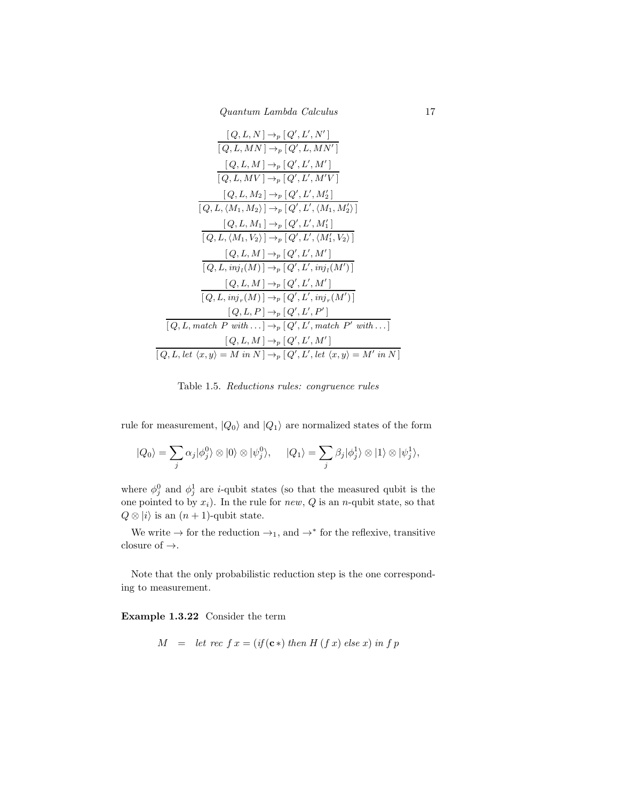*Quantum Lambda Calculus* 17

$$
\frac{[Q, L, N] \rightarrow_{p} [Q', L', N']}{[Q, L, MN] \rightarrow_{p} [Q', L, MN']} \n\frac{[Q, L, M] \rightarrow_{p} [Q', L, MN']}{[Q, L, MV] \rightarrow_{p} [Q', L', M']} \n\frac{[Q, L, M'] \rightarrow_{p} [Q', L', M']}{[Q, L, M''] \rightarrow_{p} [Q', L', M_2']} \n\frac{[Q, L, M_1] \rightarrow_{p} [Q', L', M_1']}{[Q, L, \langle M_1, M_2 \rangle] \rightarrow_{p} [Q', L', \langle M_1, M_2' \rangle]} \n\frac{[Q, L, M_1] \rightarrow_{p} [Q', L', M_1']}{[Q, L, \langle M_1, V_2 \rangle] \rightarrow_{p} [Q', L', \langle M_1', V_2 \rangle]} \n\frac{[Q, L, M] \rightarrow_{p} [Q', L', \langle M_1', W_2 \rangle]}{[Q, L, \text{inj}_l(M)] \rightarrow_{p} [Q', L', \text{inj}_l(M')]} \n\frac{[Q, L, M] \rightarrow_{p} [Q', L', \text{inj}_r(M')]}{[Q, L, \text{inj}_r(M)] \rightarrow_{p} [Q', L', \text{inj}_r(M')]}
$$
\n
$$
\frac{[Q, L, P] \rightarrow_{p} [Q', L', P']}{[Q, L, \text{match } P \text{ with } \dots] \rightarrow_{p} [Q', L', \text{match } P' \text{ with } \dots]}
$$
\n
$$
[Q, L, M] \rightarrow_{p} [Q', L', \text{let } \langle x, y \rangle = M' \text{ in } N]
$$

Table 1.5. *Reductions rules: congruence rules*

rule for measurement,  $|Q_0\rangle$  and  $|Q_1\rangle$  are normalized states of the form

$$
|Q_0\rangle = \sum_j \alpha_j |\phi_j^0\rangle \otimes |0\rangle \otimes |\psi_j^0\rangle, \quad |Q_1\rangle = \sum_j \beta_j |\phi_j^1\rangle \otimes |1\rangle \otimes |\psi_j^1\rangle,
$$

where  $\phi_j^0$  and  $\phi_j^1$  are *i*-qubit states (so that the measured qubit is the one pointed to by  $x_i$ ). In the rule for  $new$ ,  $Q$  is an  $n$ -qubit state, so that  $Q \otimes |i\rangle$  is an  $(n + 1)$ -qubit state.

We write  $\rightarrow$  for the reduction  $\rightarrow_1$ , and  $\rightarrow^*$  for the reflexive, transitive closure of  $\rightarrow.$ 

Note that the only probabilistic reduction step is the one corresponding to measurement.

Example 1.3.22 Consider the term

$$
M = let rec f x = (if(c*) then H(f x) else x) in f p
$$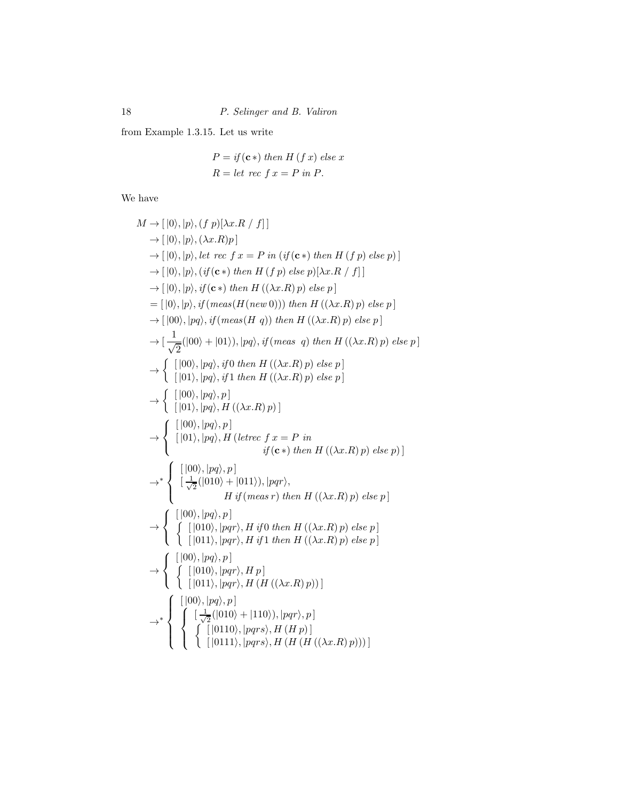from Example 1.3.15. Let us write

$$
P = if(\mathbf{c}*) \text{ then } H \text{ (}f \text{ }x \text{) } \text{ }else \text{ } x
$$
\n
$$
R = let \text{ } rec \text{ } f \text{ } x = P \text{ } in \text{ } P.
$$

We have

$$
M \rightarrow [0\rangle, |p\rangle, (f p)[\lambda x.R / f]]
$$
  
\n
$$
\rightarrow [0\rangle, |p\rangle, (\lambda x.R)p]
$$
  
\n
$$
\rightarrow [0\rangle, |p\rangle, (if (c * ) then H (f p) else p)]
$$
  
\n
$$
\rightarrow [0\rangle, |p\rangle, (if (c * ) then H (f p) else p)[\lambda x.R / f]]
$$
  
\n
$$
\rightarrow [0\rangle, |p\rangle, if (c * ) then H ((\lambda x.R) p) else p]
$$
  
\n
$$
= [0\rangle, |p\rangle, if (meas(H(new 0))) then H ((\lambda x.R) p) else p]
$$
  
\n
$$
\rightarrow [00\rangle, |pq\rangle, if (meas(H q)) then H ((\lambda x.R) p) else p]
$$
  
\n
$$
\rightarrow [\frac{1}{\sqrt{2}}( |00\rangle + |01\rangle), |pq\rangle, if (meas q) then H ((\lambda x.R) p) else p]
$$
  
\n
$$
\rightarrow \left\{ \begin{array}{l} [00\rangle, |pq\rangle, if 0 then H ((\lambda x.R) p) else p] \\ [01\rangle, |pq\rangle, if 1 then H ((\lambda x.R) p) else p] \end{array} \right\}
$$
  
\n
$$
\rightarrow \left\{ \begin{array}{l} [00\rangle, |pq\rangle, p] \\ [01\rangle, |pq\rangle, H (letrec f x = P in \\ if (c * ) then H ((\lambda x.R) p) else p] \end{array} \right\}
$$
  
\n
$$
\rightarrow \left\{ \begin{array}{l} [00\rangle, |pq\rangle, p] \\ [01\rangle, |pq\rangle, p] \end{array} \right\}
$$
  
\n
$$
\rightarrow \left\{ \begin{array}{l} [00\rangle, |pq\rangle, p] \\ [010\rangle, |pq\rangle, p] \end{array} \right\}
$$
  
\n
$$
\rightarrow \left\{ \begin{array}{l} [00\rangle, |pq\rangle, p] \\ [010\rangle, |pqr\rangle, H if 0 then H ((\lambda x.R) p) else p] \end{array} \right\}
$$
  
\n
$$
\rightarrow \left\{ \begin{array}{l} [00\rangle, |pq\rangle, p] \\ [011\rangle, |pqr\rangle, H if 1 then H ((\lambda x.R) p) else p] \end
$$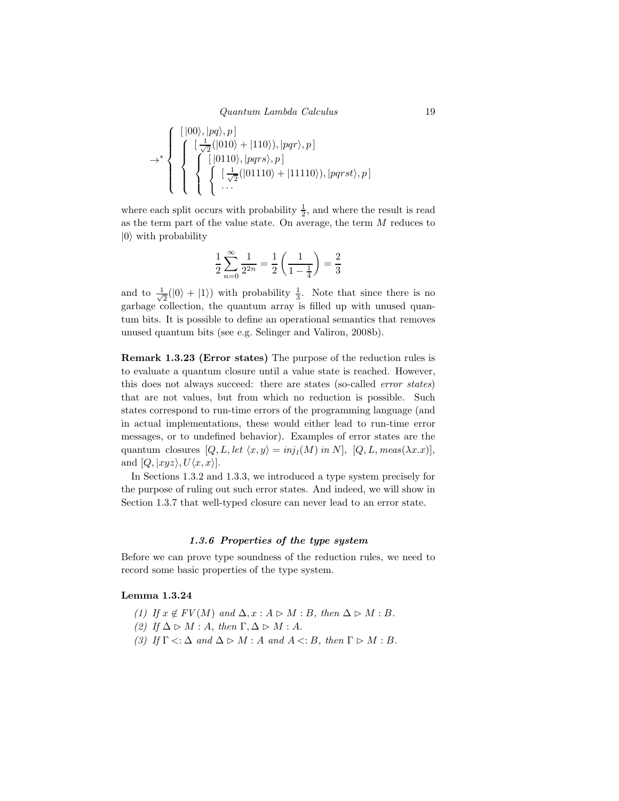*Quantum Lambda Calculus* 19

$$
\rightarrow^* \left\{\begin{array}{l} [ \, | 00 \rangle, | p q \rangle, p \, ] \\ \, \left\{\begin{array}{l} [\, \frac{1}{\sqrt{2}}(|010 \rangle + |110 \rangle), |p q r \rangle, p \, ] \\ \, \left\{\begin{array}{l} [\, | 0110 \rangle, |p q r s \rangle, p \, ] \\ \, \left\{\begin{array}{l} [\, \frac{1}{\sqrt{2}}(|01110 \rangle + |11110 \rangle), |p q r s t \rangle, p \, ] \\ \cdots \end{array}\right. \end{array}\right. \end{array}\right.
$$

where each split occurs with probability  $\frac{1}{2}$ , and where the result is read as the term part of the value state. On average, the term  $M$  reduces to  $|0\rangle$  with probability

$$
\frac{1}{2} \sum_{n=0}^{\infty} \frac{1}{2^{2n}} = \frac{1}{2} \left( \frac{1}{1 - \frac{1}{4}} \right) = \frac{2}{3}
$$

and to  $\frac{1}{\sqrt{2}}$  $\frac{1}{2}(|0\rangle + |1\rangle)$  with probability  $\frac{1}{3}$ . Note that since there is no garbage collection, the quantum array is filled up with unused quantum bits. It is possible to define an operational semantics that removes unused quantum bits (see e.g. Selinger and Valiron, 2008b).

Remark 1.3.23 (Error states) The purpose of the reduction rules is to evaluate a quantum closure until a value state is reached. However, this does not always succeed: there are states (so-called *error states*) that are not values, but from which no reduction is possible. Such states correspond to run-time errors of the programming language (and in actual implementations, these would either lead to run-time error messages, or to undefined behavior). Examples of error states are the quantum closures  $[Q, L, let \langle x, y \rangle = inj<sub>l</sub>(M) \text{ in } N], [Q, L, meas(\lambda x.x)],$ and  $[Q, |xyz\rangle, U\langle x, x\rangle].$ 

In Sections 1.3.2 and 1.3.3, we introduced a type system precisely for the purpose of ruling out such error states. And indeed, we will show in Section 1.3.7 that well-typed closure can never lead to an error state.

# *1.3.6 Properties of the type system*

Before we can prove type soundness of the reduction rules, we need to record some basic properties of the type system.

#### Lemma 1.3.24

- *(1) If*  $x \notin FV(M)$  *and*  $\Delta, x : A \triangleright M : B$ *, then*  $\Delta \triangleright M : B$ *.*
- *(2) If*  $\Delta \triangleright M : A$ *, then*  $\Gamma, \Delta \triangleright M : A$ *.*
- *(3)* If  $\Gamma$  <:  $\Delta$  *and*  $\Delta \triangleright M : A$  *and*  $A \leq B$ *, then*  $\Gamma \triangleright M : B$ *.*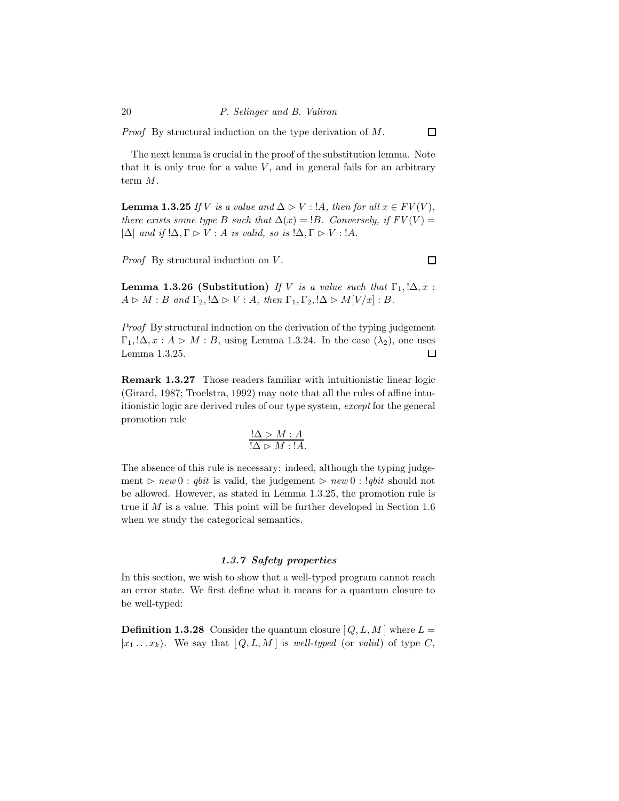*Proof* By structural induction on the type derivation of M.

The next lemma is crucial in the proof of the substitution lemma. Note that it is only true for a value  $V$ , and in general fails for an arbitrary term M.

**Lemma 1.3.25** *If V is a value and*  $\Delta \triangleright V$  : !A, then for all  $x \in FV(V)$ , *there exists some type B such that*  $\Delta(x) = B$ *. Conversely, if*  $FV(V) =$  $|\Delta|$  *and if*  $!\Delta, \Gamma \triangleright V : A$  *is valid, so is*  $!\Delta, \Gamma \triangleright V : A$ *.* 

*Proof* By structural induction on V.

Lemma 1.3.26 (Substitution) *If V is a value such that*  $\Gamma_1$ ,  $\Delta$ , x :  $A \rhd M : B \text{ and } \Gamma_2, \Delta \rhd V : A, \text{ then } \Gamma_1, \Gamma_2, \Delta \rhd M[V/x] : B.$ 

*Proof* By structural induction on the derivation of the typing judgement  $\Gamma_1, \Delta, x : A \triangleright M : B$ , using Lemma 1.3.24. In the case  $(\lambda_2)$ , one uses Lemma 1.3.25.  $\Box$ 

Remark 1.3.27 Those readers familiar with intuitionistic linear logic (Girard, 1987; Troelstra, 1992) may note that all the rules of affine intuitionistic logic are derived rules of our type system, *except* for the general promotion rule

$$
\frac{!\Delta\vartriangleright M:A}{!\Delta\vartriangleright M:\mathord!A.}
$$

The absence of this rule is necessary: indeed, although the typing judgement ⊳  $new0$ : *qbit* is valid, the judgement ⊳  $new0$ : *!qbit* should not be allowed. However, as stated in Lemma 1.3.25, the promotion rule is true if  $M$  is a value. This point will be further developed in Section 1.6 when we study the categorical semantics.

## *1.3.7 Safety properties*

In this section, we wish to show that a well-typed program cannot reach an error state. We first define what it means for a quantum closure to be well-typed:

**Definition 1.3.28** Consider the quantum closure  $[Q, L, M]$  where  $L =$  $|x_1 \dots x_k\rangle$ . We say that  $[Q, L, M]$  is *well-typed* (or *valid*) of type C,

 $\Box$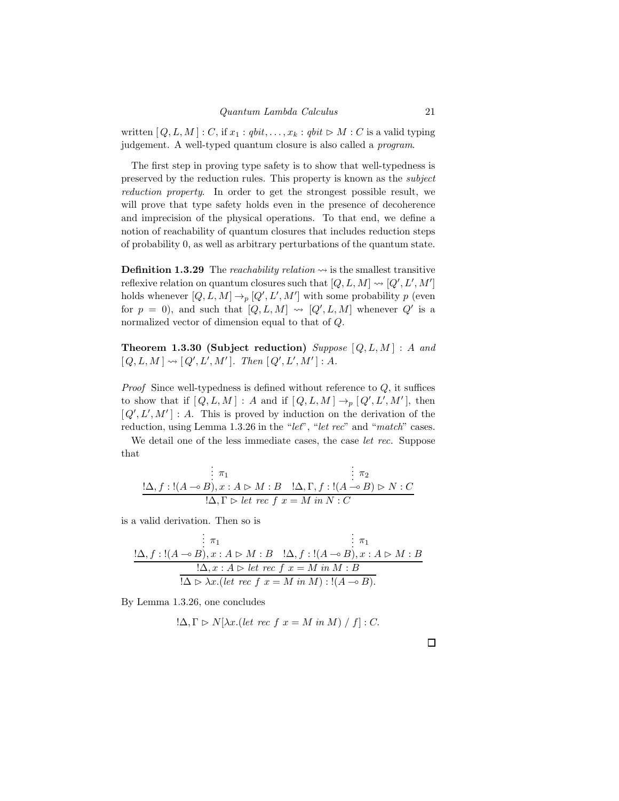written  $[Q, L, M] : C$ , if  $x_1 : qbit, \ldots, x_k : qbit \triangleright M : C$  is a valid typing judgement. A well-typed quantum closure is also called a *program*.

The first step in proving type safety is to show that well-typedness is preserved by the reduction rules. This property is known as the *subject reduction property*. In order to get the strongest possible result, we will prove that type safety holds even in the presence of decoherence and imprecision of the physical operations. To that end, we define a notion of reachability of quantum closures that includes reduction steps of probability 0, as well as arbitrary perturbations of the quantum state.

**Definition 1.3.29** The *reachability relation*  $\sim$  is the smallest transitive reflexive relation on quantum closures such that  $[Q, L, M] \leadsto [Q', L', M']$ holds whenever  $[Q, L, M] \rightarrow_{p} [Q', L', M']$  with some probability  $p$  (even for  $p = 0$ , and such that  $[Q, L, M] \rightsquigarrow [Q', L, M]$  whenever  $Q'$  is a normalized vector of dimension equal to that of Q.

Theorem 1.3.30 (Subject reduction) *Suppose* [Q, L, M ] : A *and*  $[Q, L, M] \rightsquigarrow [Q', L', M']$ . Then  $[Q', L', M']$ : A.

*Proof* Since well-typedness is defined without reference to Q, it suffices to show that if  $[Q, L, M] : A$  and if  $[Q, L, M] \rightarrow_p [Q', L', M']$ , then  $[Q', L', M'] : A$ . This is proved by induction on the derivation of the reduction, using Lemma 1.3.26 in the "*let*", "*let rec*" and "*match*" cases.

We detail one of the less immediate cases, the case *let rec*. Suppose that

$$
\begin{array}{c}\n\vdots \pi_1 & \vdots \pi_2 \\
\frac{! \Delta, f : !(A \multimap B), x : A \triangleright M : B \quad ! \Delta, \Gamma, f : !(A \multimap B) \triangleright N : C}{\Delta, \Gamma \triangleright let \ rec \ f \ x = M \ in \ N : C}\n\end{array}
$$

is a valid derivation. Then so is

$$
\begin{array}{rcl}\n&\vdots & \pi_1 & \vdots & \pi_1 \\
\frac{! \Delta, f : !(A \multimap B), x : A \triangleright M : B \quad !\Delta, f : !(A \multimap B), x : A \triangleright M : B}{\Delta, x : A \triangleright let \ rec \ f \ x = M \ in \ M : B} \\
&\frac{! \Delta, x : A \triangleright let \ rec \ f \ x = M \ in \ M : B}{\Delta \triangleright \lambda x. (let \ rec \ f \ x = M \ in \ M) : !(A \multimap B).\n\end{array}
$$

By Lemma 1.3.26, one concludes

$$
!\Delta, \Gamma \rhd N[\lambda x. (let \ rec \ f \ x = M \ in \ M) / f]: C.
$$

 $\Box$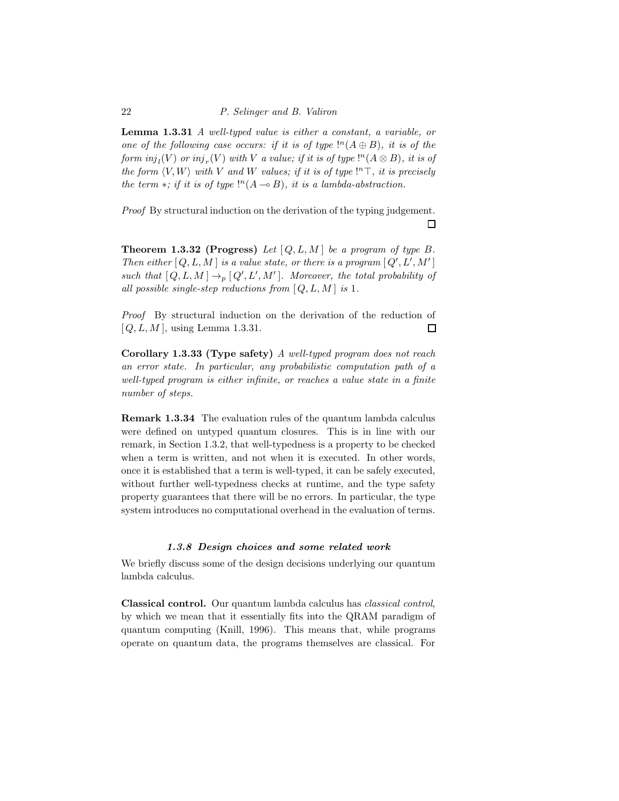Lemma 1.3.31 *A well-typed value is either a constant, a variable, or one of the following case occurs: if it is of type*  $\lbrack n(A \oplus B), i t \text{ is of the}$  $\emph{form inj}_{l}(V) \emph{ or inj}_{r}(V) \emph{ with } V \emph{ a value; if it is of type } !^{n}(A \otimes B), \emph{ it is of }$ *the form*  $\langle V, W \rangle$  *with* V *and* W *values; if it is of type* !<sup>*n*</sup>⊤*, it is precisely the term*  $*$ *; if it is of type*  $!^n(A \neg oB)$ *, it is a lambda-abstraction.* 

*Proof* By structural induction on the derivation of the typing judgement. 口

**Theorem 1.3.32 (Progress)** Let  $[Q, L, M]$  be a program of type B. *Then either*  $[Q, L, M]$  *is a value state, or there is a program*  $[Q', L', M']$  $such that [Q, L, M] \rightarrow_{p} [Q', L', M']$ . Moreover, the total probability of *all possible single-step reductions from*  $[Q, L, M]$  *is* 1*.* 

*Proof* By structural induction on the derivation of the reduction of  $[Q, L, M]$ , using Lemma 1.3.31.  $\Box$ 

Corollary 1.3.33 (Type safety) *A well-typed program does not reach an error state. In particular, any probabilistic computation path of a well-typed program is either infinite, or reaches a value state in a finite number of steps.*

Remark 1.3.34 The evaluation rules of the quantum lambda calculus were defined on untyped quantum closures. This is in line with our remark, in Section 1.3.2, that well-typedness is a property to be checked when a term is written, and not when it is executed. In other words, once it is established that a term is well-typed, it can be safely executed, without further well-typedness checks at runtime, and the type safety property guarantees that there will be no errors. In particular, the type system introduces no computational overhead in the evaluation of terms.

#### *1.3.8 Design choices and some related work*

We briefly discuss some of the design decisions underlying our quantum lambda calculus.

Classical control. Our quantum lambda calculus has *classical control*, by which we mean that it essentially fits into the QRAM paradigm of quantum computing (Knill, 1996). This means that, while programs operate on quantum data, the programs themselves are classical. For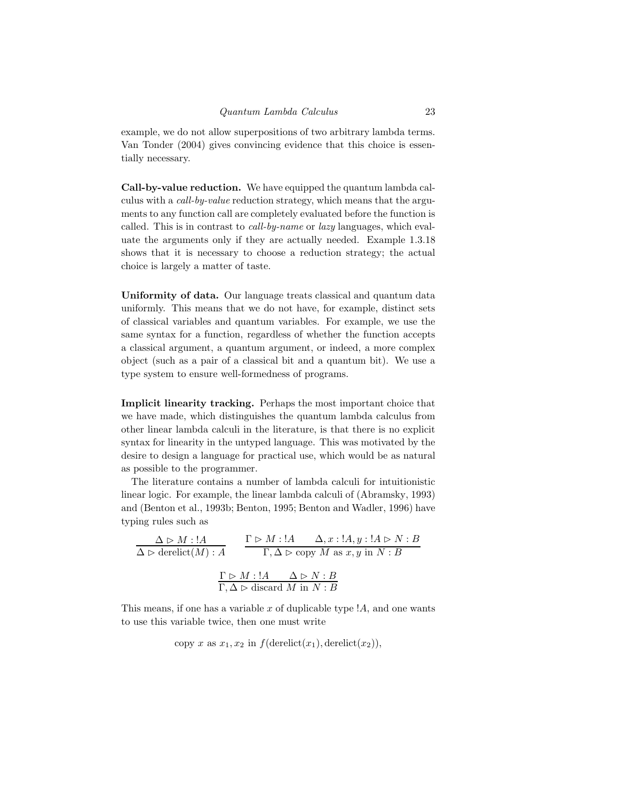example, we do not allow superpositions of two arbitrary lambda terms. Van Tonder (2004) gives convincing evidence that this choice is essentially necessary.

Call-by-value reduction. We have equipped the quantum lambda calculus with a *call-by-value* reduction strategy, which means that the arguments to any function call are completely evaluated before the function is called. This is in contrast to *call-by-name* or *lazy* languages, which evaluate the arguments only if they are actually needed. Example 1.3.18 shows that it is necessary to choose a reduction strategy; the actual choice is largely a matter of taste.

Uniformity of data. Our language treats classical and quantum data uniformly. This means that we do not have, for example, distinct sets of classical variables and quantum variables. For example, we use the same syntax for a function, regardless of whether the function accepts a classical argument, a quantum argument, or indeed, a more complex object (such as a pair of a classical bit and a quantum bit). We use a type system to ensure well-formedness of programs.

Implicit linearity tracking. Perhaps the most important choice that we have made, which distinguishes the quantum lambda calculus from other linear lambda calculi in the literature, is that there is no explicit syntax for linearity in the untyped language. This was motivated by the desire to design a language for practical use, which would be as natural as possible to the programmer.

The literature contains a number of lambda calculi for intuitionistic linear logic. For example, the linear lambda calculi of (Abramsky, 1993) and (Benton et al., 1993b; Benton, 1995; Benton and Wadler, 1996) have typing rules such as

$$
\frac{\Delta \rhd M: !A}{\Delta \rhd \text{derelict}(M): A} \qquad \frac{\Gamma \rhd M: !A \qquad \Delta, x: !A, y: !A \rhd N: B}{\Gamma, \Delta \rhd \text{copy } M \text{ as } x, y \text{ in } N: B}
$$
\n
$$
\frac{\Gamma \rhd M: !A \qquad \Delta \rhd N: B}{\Gamma, \Delta \rhd \text{discard } M \text{ in } N: B}
$$

This means, if one has a variable  $x$  of duplicable type  $!A$ , and one wants to use this variable twice, then one must write

copy x as 
$$
x_1, x_2
$$
 in  $f$ (derelict $(x_1)$ , derelict $(x_2)$ ),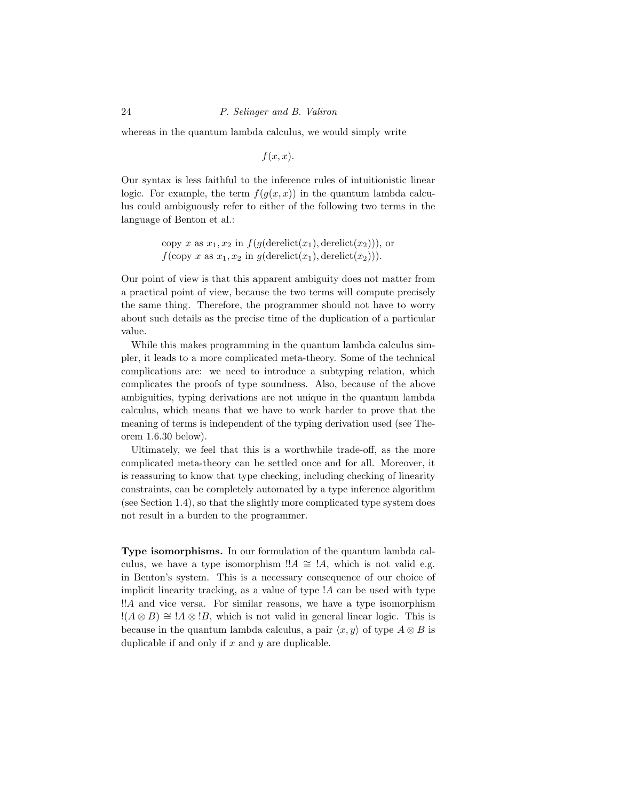whereas in the quantum lambda calculus, we would simply write

$$
f(x,x).
$$

Our syntax is less faithful to the inference rules of intuitionistic linear logic. For example, the term  $f(g(x, x))$  in the quantum lambda calculus could ambiguously refer to either of the following two terms in the language of Benton et al.:

> copy x as  $x_1, x_2$  in  $f(g(\text{derelict}(x_1), \text{derelict}(x_2))),$  or  $f(copy x as x_1, x_2 in g(derelict(x_1), derelict(x_2))).$

Our point of view is that this apparent ambiguity does not matter from a practical point of view, because the two terms will compute precisely the same thing. Therefore, the programmer should not have to worry about such details as the precise time of the duplication of a particular value.

While this makes programming in the quantum lambda calculus simpler, it leads to a more complicated meta-theory. Some of the technical complications are: we need to introduce a subtyping relation, which complicates the proofs of type soundness. Also, because of the above ambiguities, typing derivations are not unique in the quantum lambda calculus, which means that we have to work harder to prove that the meaning of terms is independent of the typing derivation used (see Theorem 1.6.30 below).

Ultimately, we feel that this is a worthwhile trade-off, as the more complicated meta-theory can be settled once and for all. Moreover, it is reassuring to know that type checking, including checking of linearity constraints, can be completely automated by a type inference algorithm (see Section 1.4), so that the slightly more complicated type system does not result in a burden to the programmer.

Type isomorphisms. In our formulation of the quantum lambda calculus, we have a type isomorphism  $\mathsf{H} \cong \mathsf{H}$ , which is not valid e.g. in Benton's system. This is a necessary consequence of our choice of implicit linearity tracking, as a value of type !A can be used with type !!A and vice versa. For similar reasons, we have a type isomorphism  $!(A \otimes B) \cong !A \otimes !B$ , which is not valid in general linear logic. This is because in the quantum lambda calculus, a pair  $\langle x, y \rangle$  of type  $A \otimes B$  is duplicable if and only if  $x$  and  $y$  are duplicable.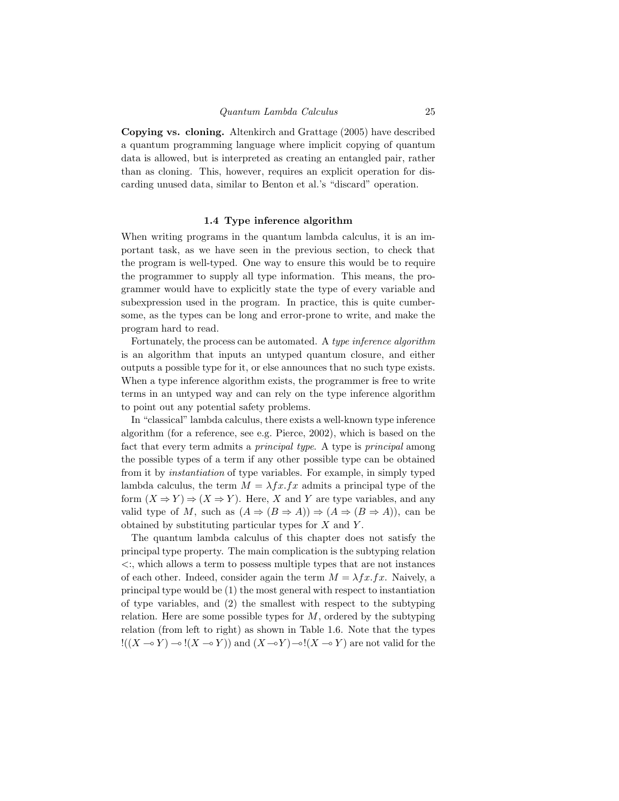Copying vs. cloning. Altenkirch and Grattage (2005) have described a quantum programming language where implicit copying of quantum data is allowed, but is interpreted as creating an entangled pair, rather than as cloning. This, however, requires an explicit operation for discarding unused data, similar to Benton et al.'s "discard" operation.

#### 1.4 Type inference algorithm

When writing programs in the quantum lambda calculus, it is an important task, as we have seen in the previous section, to check that the program is well-typed. One way to ensure this would be to require the programmer to supply all type information. This means, the programmer would have to explicitly state the type of every variable and subexpression used in the program. In practice, this is quite cumbersome, as the types can be long and error-prone to write, and make the program hard to read.

Fortunately, the process can be automated. A *type inference algorithm* is an algorithm that inputs an untyped quantum closure, and either outputs a possible type for it, or else announces that no such type exists. When a type inference algorithm exists, the programmer is free to write terms in an untyped way and can rely on the type inference algorithm to point out any potential safety problems.

In "classical" lambda calculus, there exists a well-known type inference algorithm (for a reference, see e.g. Pierce, 2002), which is based on the fact that every term admits a *principal type*. A type is *principal* among the possible types of a term if any other possible type can be obtained from it by *instantiation* of type variables. For example, in simply typed lambda calculus, the term  $M = \lambda f x . f x$  admits a principal type of the form  $(X \Rightarrow Y) \Rightarrow (X \Rightarrow Y)$ . Here, X and Y are type variables, and any valid type of M, such as  $(A \Rightarrow (B \Rightarrow A)) \Rightarrow (A \Rightarrow (B \Rightarrow A))$ , can be obtained by substituting particular types for  $X$  and  $Y$ .

The quantum lambda calculus of this chapter does not satisfy the principal type property. The main complication is the subtyping relation <:, which allows a term to possess multiple types that are not instances of each other. Indeed, consider again the term  $M = \lambda f x . f x$ . Naively, a principal type would be (1) the most general with respect to instantiation of type variables, and (2) the smallest with respect to the subtyping relation. Here are some possible types for  $M$ , ordered by the subtyping relation (from left to right) as shown in Table 1.6. Note that the types  $!((X \neg Y) \neg (X \neg Y))$  and  $(X \neg Y) \neg (X \neg Y)$  are not valid for the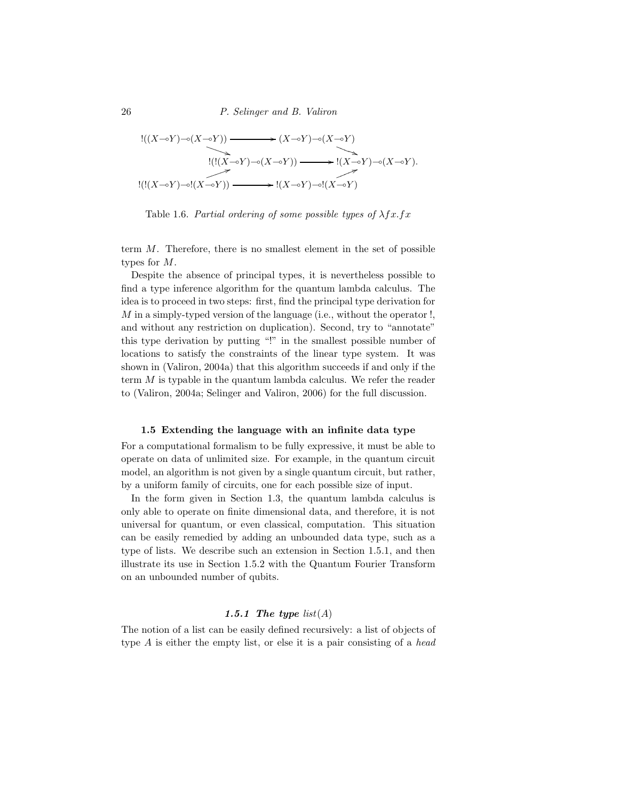$$
!((X\multimap Y)\multimap(X\multimap Y)) \xrightarrow{\bullet} (X\multimap Y)\multimap(X\multimap Y)
$$
  

$$
!((X\multimap Y)\multimap(X\multimap Y)) \xrightarrow{\bullet} ((X\multimap Y)\multimap(X\multimap Y))
$$
  

$$
!((X\multimap Y)\multimap!(X\multimap Y)) \xrightarrow{\bullet} ((X\multimap Y)\multimap!(X\multimap Y))
$$

Table 1.6. *Partial ordering of some possible types of*  $\lambda f x.f x$ 

term  $M$ . Therefore, there is no smallest element in the set of possible types for M.

Despite the absence of principal types, it is nevertheless possible to find a type inference algorithm for the quantum lambda calculus. The idea is to proceed in two steps: first, find the principal type derivation for M in a simply-typed version of the language (i.e., without the operator  $\mathcal{I}$ , and without any restriction on duplication). Second, try to "annotate" this type derivation by putting "!" in the smallest possible number of locations to satisfy the constraints of the linear type system. It was shown in (Valiron, 2004a) that this algorithm succeeds if and only if the term  $M$  is typable in the quantum lambda calculus. We refer the reader to (Valiron, 2004a; Selinger and Valiron, 2006) for the full discussion.

#### 1.5 Extending the language with an infinite data type

For a computational formalism to be fully expressive, it must be able to operate on data of unlimited size. For example, in the quantum circuit model, an algorithm is not given by a single quantum circuit, but rather, by a uniform family of circuits, one for each possible size of input.

In the form given in Section 1.3, the quantum lambda calculus is only able to operate on finite dimensional data, and therefore, it is not universal for quantum, or even classical, computation. This situation can be easily remedied by adding an unbounded data type, such as a type of lists. We describe such an extension in Section 1.5.1, and then illustrate its use in Section 1.5.2 with the Quantum Fourier Transform on an unbounded number of qubits.

#### *1.5.1 The type list*(A)

The notion of a list can be easily defined recursively: a list of objects of type A is either the empty list, or else it is a pair consisting of a *head*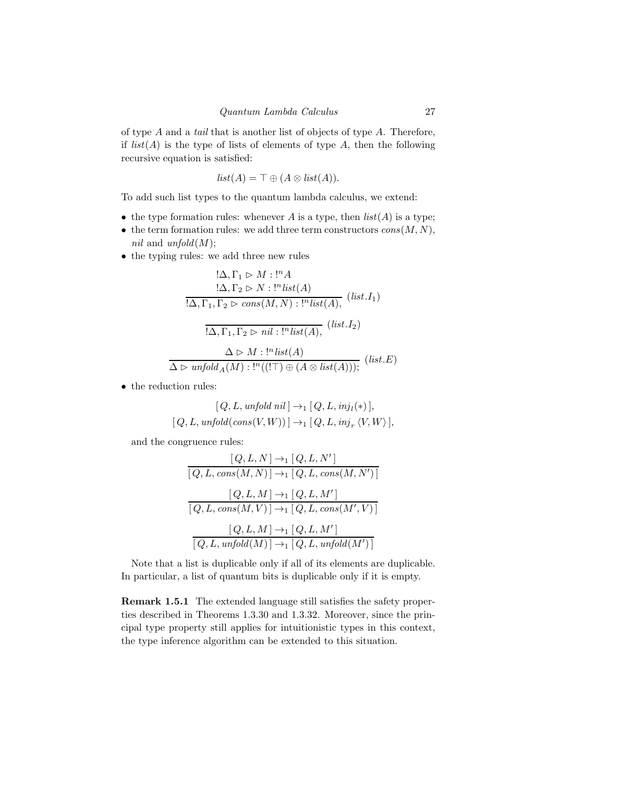of type A and a *tail* that is another list of objects of type A. Therefore, if  $list(A)$  is the type of lists of elements of type  $A$ , then the following recursive equation is satisfied:

$$
list(A) = \top \oplus (A \otimes list(A)).
$$

To add such list types to the quantum lambda calculus, we extend:

- the type formation rules: whenever  $A$  is a type, then  $list(A)$  is a type;
- $\bullet$  the term formation rules: we add three term constructors  $cons(M, N)$ , *nil* and *unfold*(M);
- the typing rules: we add three new rules

$$
\frac{!\Delta,\Gamma_1 \rhd M: !^n A}{!\Delta,\Gamma_2 \rhd N: !^n list(A)}
$$
  

$$
\frac{!\Delta,\Gamma_1 \rhd \rhd \text{cons}(M, N): !^n list(A), \quad (list. I_1)}{!\Delta,\Gamma_1,\Gamma_2 \rhd nil: !^n list(A), \quad (list. I_2)}
$$
  

$$
\frac{\Delta \rhd M: !^n list(A)}{\Delta \rhd \text{unfold}_A(M): !^n (!(T) \oplus (A \otimes list(A))); \quad (list. E)}
$$

• the reduction rules:

$$
[Q, L, \text{unfold } \text{nil } ] \rightarrow_1 [Q, L, \text{inj}_l(*)],
$$
  

$$
[Q, L, \text{unfold}(\text{cons}(V, W))] \rightarrow_1 [Q, L, \text{inj}_r \langle V, W \rangle],
$$

and the congruence rules:

$$
\frac{[Q, L, N] \rightarrow_1 [Q, L, N']}{[Q, L, cons(M, N)] \rightarrow_1 [Q, L, cons(M, N')]}
$$

$$
\frac{[Q, L, M] \rightarrow_1 [Q, L, cons(M, N')]}{[Q, L, cons(M, V)] \rightarrow_1 [Q, L, cons(M', V)]}
$$

$$
\frac{[Q, L, M] \rightarrow_1 [Q, L, M']}{[Q, L, unfold(M)] \rightarrow_1 [Q, L, unfold(M')]}
$$

Note that a list is duplicable only if all of its elements are duplicable. In particular, a list of quantum bits is duplicable only if it is empty.

Remark 1.5.1 The extended language still satisfies the safety properties described in Theorems 1.3.30 and 1.3.32. Moreover, since the principal type property still applies for intuitionistic types in this context, the type inference algorithm can be extended to this situation.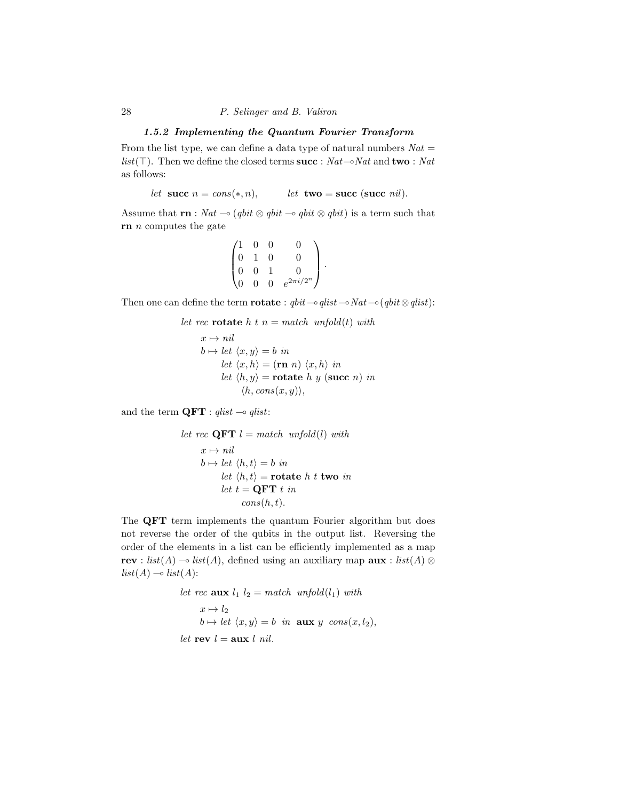#### *1.5.2 Implementing the Quantum Fourier Transform*

From the list type, we can define a data type of natural numbers  $Nat =$ *list*(⊤). Then we define the closed terms succ : *Nat*⊸*Nat* and two : *Nat* as follows:

*let* succ  $n = \text{cons}(*, n)$ , *let* two = succ (succ *nil*).

Assume that  $\mathbf{rn}$  : *Nat*  $\multimap$  (*qbit*  $\otimes$  *qbit*  $\leadsto$  *qbit*  $\otimes$  *qbit*) is a term such that *n* **computes the gate** 

$$
\begin{pmatrix} 1 & 0 & 0 & 0 \\ 0 & 1 & 0 & 0 \\ 0 & 0 & 1 & 0 \\ 0 & 0 & 0 & e^{2\pi i/2^n} \end{pmatrix}.
$$

Then one can define the term **rotate** :  $qbit \sim qlist \sim Nat \sim (qbit \otimes qlist)$ :

let rec **rotate** h t n = match 
$$
unfold(t)
$$
 with  
\n $x \mapsto nil$   
\n $b \mapsto let \langle x, y \rangle = b$  in  
\nlet  $\langle x, h \rangle = (\mathbf{r} \mathbf{n} n) \langle x, h \rangle$  in  
\nlet  $\langle h, y \rangle = \mathbf{rotate} h y (\mathbf{succ} n)$  in  
\n $\langle h, cons(x, y) \rangle$ ,

and the term  $\mathbf{QFT}: \textit{qlist} \multimap \textit{qlist}:$ 

let rec **QFT** 
$$
l = match \; \text{unfold}(l) \; \text{with}
$$
  
\n $x \mapsto nil$   
\n $b \mapsto let \; \langle h, t \rangle = b \; in$   
\nlet  $\langle h, t \rangle = \text{rotate } h \; t \; \text{two } in$   
\nlet  $t = \text{QFT } t \; in$   
\n $cons(h, t)$ .

The QFT term implements the quantum Fourier algorithm but does not reverse the order of the qubits in the output list. Reversing the order of the elements in a list can be efficiently implemented as a map rev :  $list(A) \rightarrow list(A)$ , defined using an auxiliary map **aux** :  $list(A) \otimes$  $list(A) \rightarrow list(A)$ :

let rec **aux** 
$$
l_1
$$
  $l_2$  = match  $unfold(l_1)$  with  
\n $x \mapsto l_2$   
\n $b \mapsto let \langle x, y \rangle = b$  in **aux** y  $cons(x, l_2)$ ,  
\nlet **rev**  $l =$ **aux**  $l$  *nil*.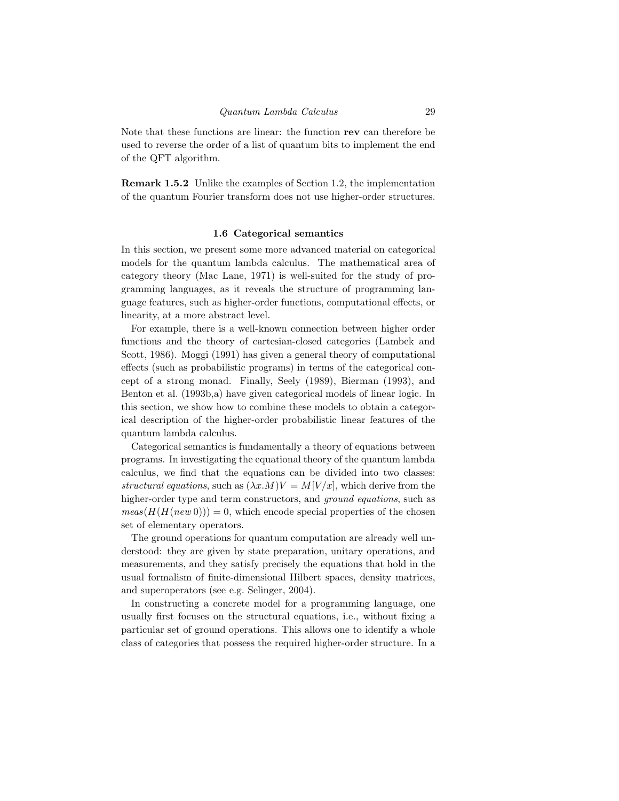Note that these functions are linear: the function rev can therefore be used to reverse the order of a list of quantum bits to implement the end of the QFT algorithm.

Remark 1.5.2 Unlike the examples of Section 1.2, the implementation of the quantum Fourier transform does not use higher-order structures.

#### 1.6 Categorical semantics

In this section, we present some more advanced material on categorical models for the quantum lambda calculus. The mathematical area of category theory (Mac Lane, 1971) is well-suited for the study of programming languages, as it reveals the structure of programming language features, such as higher-order functions, computational effects, or linearity, at a more abstract level.

For example, there is a well-known connection between higher order functions and the theory of cartesian-closed categories (Lambek and Scott, 1986). Moggi (1991) has given a general theory of computational effects (such as probabilistic programs) in terms of the categorical concept of a strong monad. Finally, Seely (1989), Bierman (1993), and Benton et al. (1993b,a) have given categorical models of linear logic. In this section, we show how to combine these models to obtain a categorical description of the higher-order probabilistic linear features of the quantum lambda calculus.

Categorical semantics is fundamentally a theory of equations between programs. In investigating the equational theory of the quantum lambda calculus, we find that the equations can be divided into two classes: *structural equations*, such as  $(\lambda x.M)V = M[V/x]$ , which derive from the higher-order type and term constructors, and *ground equations*, such as  $meas(H(H(new 0))) = 0$ , which encode special properties of the chosen set of elementary operators.

The ground operations for quantum computation are already well understood: they are given by state preparation, unitary operations, and measurements, and they satisfy precisely the equations that hold in the usual formalism of finite-dimensional Hilbert spaces, density matrices, and superoperators (see e.g. Selinger, 2004).

In constructing a concrete model for a programming language, one usually first focuses on the structural equations, i.e., without fixing a particular set of ground operations. This allows one to identify a whole class of categories that possess the required higher-order structure. In a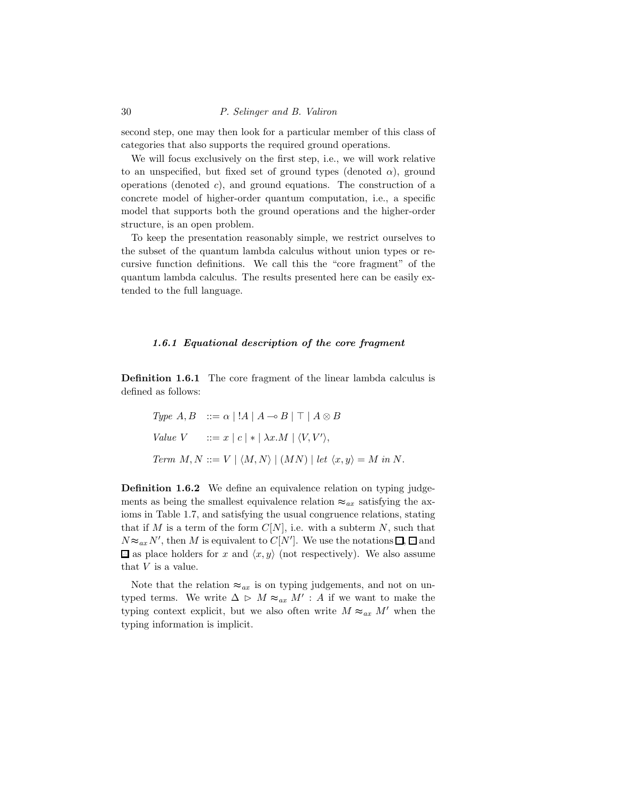second step, one may then look for a particular member of this class of categories that also supports the required ground operations.

We will focus exclusively on the first step, i.e., we will work relative to an unspecified, but fixed set of ground types (denoted  $\alpha$ ), ground operations (denoted  $c$ ), and ground equations. The construction of a concrete model of higher-order quantum computation, i.e., a specific model that supports both the ground operations and the higher-order structure, is an open problem.

To keep the presentation reasonably simple, we restrict ourselves to the subset of the quantum lambda calculus without union types or recursive function definitions. We call this the "core fragment" of the quantum lambda calculus. The results presented here can be easily extended to the full language.

#### *1.6.1 Equational description of the core fragment*

Definition 1.6.1 The core fragment of the linear lambda calculus is defined as follows:

Type A, B 
$$
::= \alpha |!A | A \neg B | \top | A \otimes B
$$

\nValue V  $::= x | c | * | \lambda x.M | \langle V, V' \rangle$ 

\nTerm M, N ::= V | \langle M, N \rangle | (MN) | let  $\langle x, y \rangle = M$  in N.

Definition 1.6.2 We define an equivalence relation on typing judgements as being the smallest equivalence relation  $\approx_{ax}$  satisfying the axioms in Table 1.7, and satisfying the usual congruence relations, stating that if M is a term of the form  $C[N]$ , i.e. with a subterm N, such that  $N \approx_{ax} N'$ , then M is equivalent to  $C[N']$ . We use the notations  $\Box$ ,  $\Box$  and as place holders for x and  $\langle x, y \rangle$  (not respectively). We also assume that  $V$  is a value.

Note that the relation  $\approx_{ax}$  is on typing judgements, and not on untyped terms. We write  $\Delta \supset M \approx_{ax} M'$ : A if we want to make the typing context explicit, but we also often write  $M \approx_{ax} M'$  when the typing information is implicit.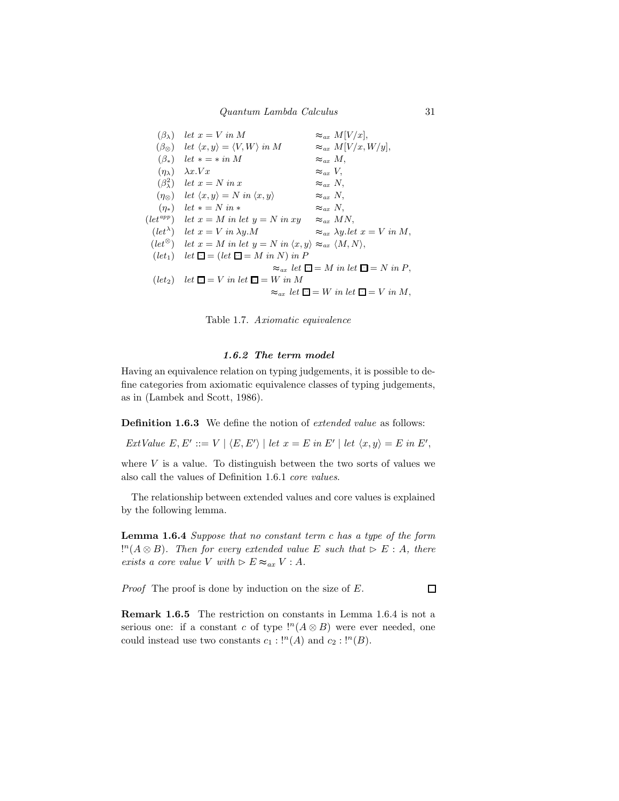$$
\begin{array}{llll}\n(\beta_{\lambda}) & let & x = V \text{ in } M & \approx_{ax} M[V/x], \\
(\beta_{\otimes}) & let & \langle x, y \rangle = \langle V, W \rangle \text{ in } M & \approx_{ax} M[V/x, W/y], \\
(\beta_{\star}) & let & * = * \text{ in } M & \approx_{ax} M, \\
(\eta_{\lambda}) & \lambda x. Vx & \approx_{ax} N, \\
(\eta_{\otimes}) & let & x = N \text{ in } x & \approx_{ax} N, \\
(\eta_{\star}) & let & x = N \text{ in } x & \approx_{ax} N, \\
(\eta_{\star}) & let & * = N \text{ in } \star & \approx_{ax} N, \\
(\text{let}^{app}) & let & x = M \text{ in } let & y = N \text{ in } xy & \approx_{ax} MN, \\
(\text{let}^{\lambda}) & let & x = V \text{ in } \lambda y. M & \approx_{ax} \lambda y. let & x = V \text{ in } M, \\
(\text{let}^{\otimes}) & let & x = M \text{ in } let & y = N \text{ in } \langle x, y \rangle \approx_{ax} \langle M, N \rangle, \\
(\text{let}^{\lambda}) & let & \square = (\text{let } \square = M \text{ in } N) \text{ in } P & \approx_{ax} \text{ let } \square = N \text{ in } P, \\
(\text{let}^{\lambda}) & let & \square = V \text{ in } let & \square = W \text{ in } M & \approx_{ax} \text{ let } \square = V \text{ in } M, \\
\end{array}
$$

Table 1.7. *Axiomatic equivalence*

## *1.6.2 The term model*

Having an equivalence relation on typing judgements, it is possible to define categories from axiomatic equivalence classes of typing judgements, as in (Lambek and Scott, 1986).

Definition 1.6.3 We define the notion of *extended value* as follows:

*ExtValue*  $E, E' ::= V \mid \langle E, E' \rangle \mid let x = E \text{ in } E' \mid let \langle x, y \rangle = E \text{ in } E',$ 

where  $V$  is a value. To distinguish between the two sorts of values we also call the values of Definition 1.6.1 *core values*.

The relationship between extended values and core values is explained by the following lemma.

Lemma 1.6.4 *Suppose that no constant term* c *has a type of the form*  $\mathbb{P}^n(A \otimes B)$ . Then for every extended value E such that  $\triangleright E : A$ , there *exists a core value*  $V$  *with*  $\triangleright E \approx_{ax} V : A$ *.* 

*Proof* The proof is done by induction on the size of E.

Remark 1.6.5 The restriction on constants in Lemma 1.6.4 is not a serious one: if a constant c of type  $!^n(A \otimes B)$  were ever needed, one could instead use two constants  $c_1$ :  $\binom{n}{A}$  and  $c_2$ :  $\binom{n}{B}$ .

 $\Box$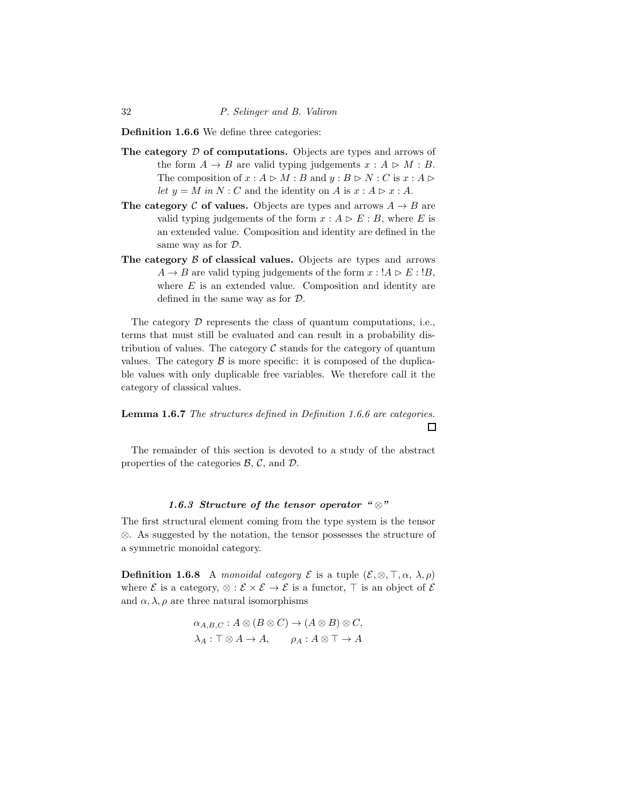Definition 1.6.6 We define three categories:

- The category  $D$  of computations. Objects are types and arrows of the form  $A \to B$  are valid typing judgements  $x : A \rhd M : B$ . The composition of  $x : A \rhd M : B$  and  $y : B \rhd N : C$  is  $x : A \rhd$ *let*  $y = M$  *in*  $N : C$  and the identity on  $A$  is  $x : A \triangleright x : A$ .
- The category C of values. Objects are types and arrows  $A \rightarrow B$  are valid typing judgements of the form  $x : A \triangleright E : B$ , where E is an extended value. Composition and identity are defined in the same way as for D.
- The category  $\beta$  of classical values. Objects are types and arrows  $A \rightarrow B$  are valid typing judgements of the form  $x : A \triangleright E : B$ , where  $E$  is an extended value. Composition and identity are defined in the same way as for D.

The category  $D$  represents the class of quantum computations, i.e., terms that must still be evaluated and can result in a probability distribution of values. The category  $\mathcal C$  stands for the category of quantum values. The category  $\beta$  is more specific: it is composed of the duplicable values with only duplicable free variables. We therefore call it the category of classical values.

Lemma 1.6.7 *The structures defined in Definition 1.6.6 are categories.* 口

The remainder of this section is devoted to a study of the abstract properties of the categories  $\mathcal{B}, \mathcal{C}$ , and  $\mathcal{D}$ .

# *1.6.3 Structure of the tensor operator "* ⊗*"*

The first structural element coming from the type system is the tensor ⊗. As suggested by the notation, the tensor possesses the structure of a symmetric monoidal category.

**Definition 1.6.8** A *monoidal category*  $\mathcal{E}$  is a tuple  $(\mathcal{E}, \otimes, \top, \alpha, \lambda, \rho)$ where  $\mathcal E$  is a category,  $\otimes : \mathcal E \times \mathcal E \to \mathcal E$  is a functor,  $\top$  is an object of  $\mathcal E$ and  $\alpha$ ,  $\lambda$ ,  $\rho$  are three natural isomorphisms

$$
\alpha_{A,B,C}: A \otimes (B \otimes C) \to (A \otimes B) \otimes C,
$$
  

$$
\lambda_A: \top \otimes A \to A, \qquad \rho_A: A \otimes \top \to A
$$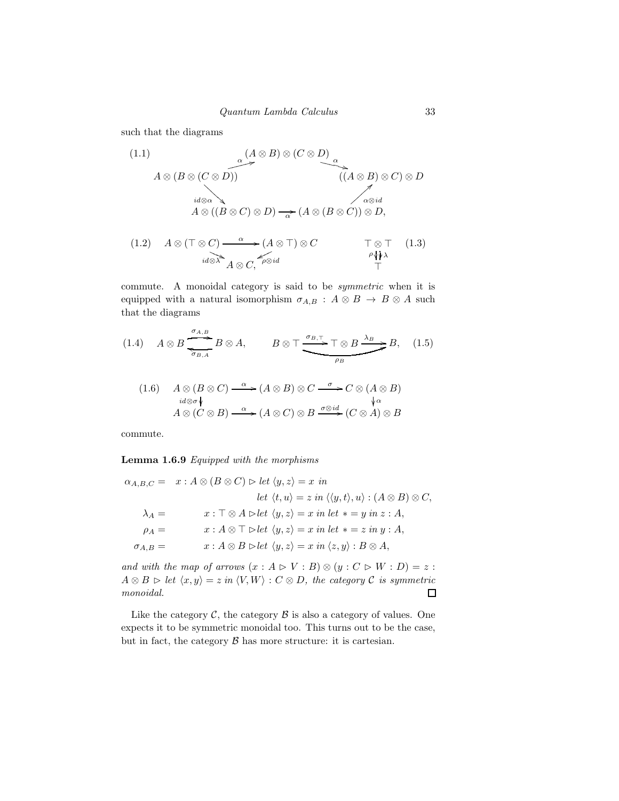such that the diagrams

(1.1)  
\n
$$
A \otimes (B \otimes (C \otimes D))
$$
  
\n $\xrightarrow{id \otimes \alpha} A \otimes ((B \otimes C) \otimes D) \xrightarrow{\alpha} (A \otimes (B \otimes C)) \otimes D$   
\n $A \otimes ((B \otimes C) \otimes D) \xrightarrow{\alpha} (A \otimes (B \otimes C)) \otimes D,$ 

(1.2) 
$$
A \otimes (\top \otimes C) \xrightarrow{id \otimes \lambda^*} (A \otimes \top) \otimes C
$$
  $\top \otimes \top \quad (1.3)$   
\n $id \otimes \lambda^* A \otimes C$ ,  $\sim \infty$   $\uparrow \downarrow \downarrow$   $\uparrow$   $\downarrow \downarrow \downarrow$   $\uparrow$ 

commute. A monoidal category is said to be *symmetric* when it is equipped with a natural isomorphism  $\sigma_{A,B}$ :  $A \otimes B \rightarrow B \otimes A$  such that the diagrams

(1.4) 
$$
A \otimes B \xrightarrow{\sigma_{A,B}} B \otimes A
$$
,  $B \otimes T \xrightarrow{\sigma_{B,T}} T \otimes B \xrightarrow{\lambda_B} B$ , (1.5)

(1.6) 
$$
A \otimes (B \otimes C) \xrightarrow{\alpha} (A \otimes B) \otimes C \xrightarrow{\sigma} C \otimes (A \otimes B)
$$
  
\n $\downarrow \alpha$   
\n $A \otimes (C \otimes B) \xrightarrow{\alpha} (A \otimes C) \otimes B \xrightarrow{\sigma \otimes id} (C \otimes A) \otimes B$ 

commute.

#### Lemma 1.6.9 *Equipped with the morphisms*

|                  | $\alpha_{A,B,C} = x : A \otimes (B \otimes C) \triangleright let \langle y, z \rangle = x \text{ in }$    |
|------------------|-----------------------------------------------------------------------------------------------------------|
|                  | let $\langle t, u \rangle = z$ in $\langle \langle y, t \rangle, u \rangle : (A \otimes B) \otimes C$ ,   |
| $\lambda_A =$    | $x: \top \otimes A \rhd let \langle y, z \rangle = x \text{ in } let * = y \text{ in } z : A,$            |
| $\rho_A =$       | $x: A \otimes \top \rhd let \langle y, z \rangle = x \text{ in } let * = z \text{ in } y: A,$             |
| $\sigma_{A,B} =$ | $x: A \otimes B \rightarrow let \langle y, z \rangle = x \text{ in } \langle z, y \rangle : B \otimes A,$ |

*and with the map of arrows*  $(x : A \triangleright V : B) \otimes (y : C \triangleright W : D) = z$ :  $A \otimes B \supset \text{let } \langle x, y \rangle = z \text{ in } \langle V, W \rangle : C \otimes D$ , the category C is symmetric monoidal. *monoidal.*

Like the category  $C$ , the category  $B$  is also a category of values. One expects it to be symmetric monoidal too. This turns out to be the case, but in fact, the category  $\beta$  has more structure: it is cartesian.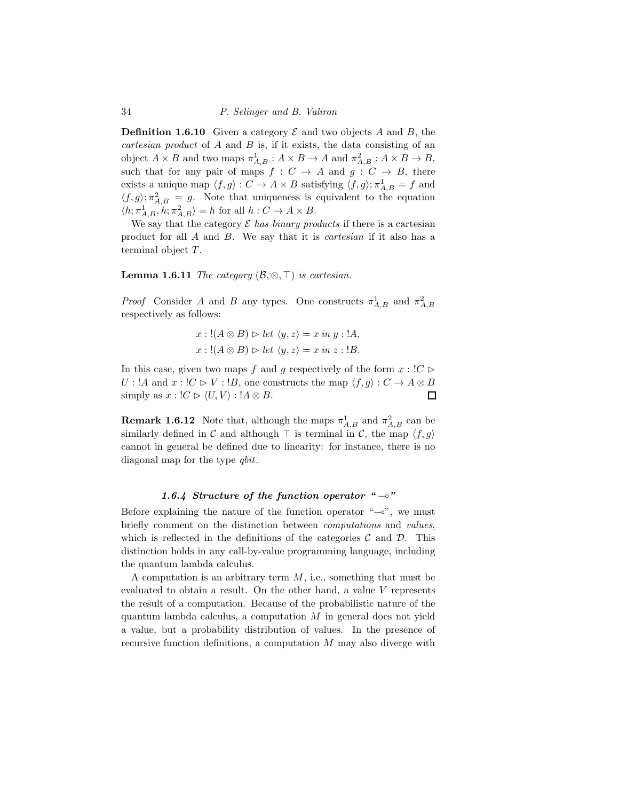**Definition 1.6.10** Given a category  $\mathcal{E}$  and two objects A and B, the *cartesian product* of A and B is, if it exists, the data consisting of an object  $A \times B$  and two maps  $\pi_{A,B}^1 : A \times B \to A$  and  $\pi_{A,B}^2 : A \times B \to B$ , such that for any pair of maps  $f: C \rightarrow A$  and  $g: C \rightarrow B$ , there exists a unique map  $\langle f, g \rangle : C \to A \times B$  satisfying  $\langle f, g \rangle; \pi_{A,B}^1 = f$  and  $\langle f, g \rangle$ ;  $\pi_{A,B}^2 = g$ . Note that uniqueness is equivalent to the equation  $\langle h; \pi^1_{A,B}, h; \pi^2_{A,B} \rangle = h$  for all  $h: C \to A \times B$ .

We say that the category  $\mathcal E$  *has binary products* if there is a cartesian product for all A and B. We say that it is *cartesian* if it also has a terminal object  $T$ .

**Lemma 1.6.11** *The category*  $(\mathcal{B}, \otimes, \top)$  *is cartesian.* 

*Proof* Consider A and B any types. One constructs  $\pi_{A,B}^1$  and  $\pi_{A,B}^2$ respectively as follows:

$$
x:!(A \otimes B) \rhd let \langle y, z \rangle = x \text{ in } y: !A,
$$
  

$$
x:!(A \otimes B) \rhd let \langle y, z \rangle = x \text{ in } z: !B.
$$

In this case, given two maps f and g respectively of the form  $x : C \triangleright$ U : !A and  $x : !C \triangleright V : !B$ , one constructs the map  $\langle f, g \rangle : C \to A \otimes B$ simply as  $x : !C \triangleright \langle U, V \rangle : !A \otimes B$ .  $\Box$ 

**Remark 1.6.12** Note that, although the maps  $\pi_{A,B}^1$  and  $\pi_{A,B}^2$  can be similarly defined in C and although  $\top$  is terminal in C, the map  $\langle f, g \rangle$ cannot in general be defined due to linearity: for instance, there is no diagonal map for the type *qbit*.

# *1.6.4 Structure of the function operator "* ⊸*"*

Before explaining the nature of the function operator "⊸", we must briefly comment on the distinction between *computations* and *values*, which is reflected in the definitions of the categories  $\mathcal C$  and  $\mathcal D$ . This distinction holds in any call-by-value programming language, including the quantum lambda calculus.

A computation is an arbitrary term  $M$ , i.e., something that must be evaluated to obtain a result. On the other hand, a value V represents the result of a computation. Because of the probabilistic nature of the quantum lambda calculus, a computation  $M$  in general does not yield a value, but a probability distribution of values. In the presence of recursive function definitions, a computation  $M$  may also diverge with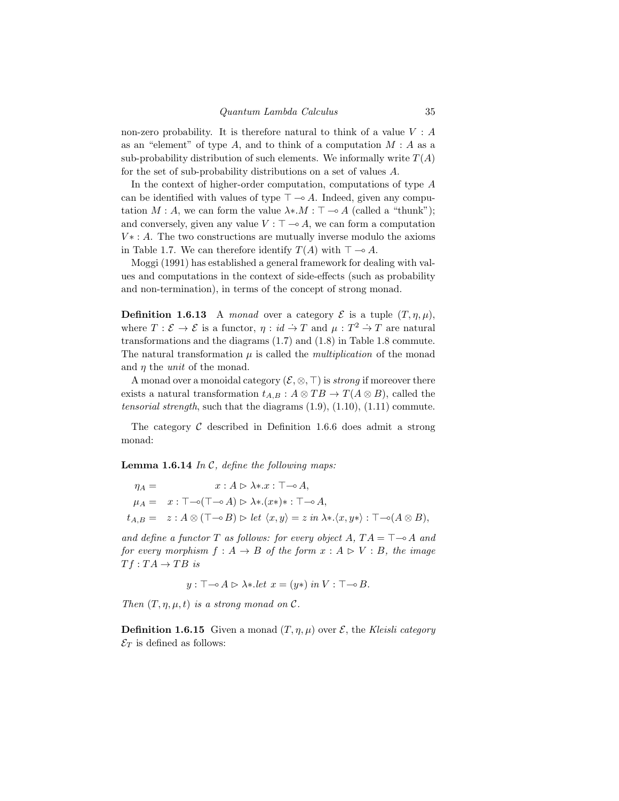non-zero probability. It is therefore natural to think of a value  $V : A$ as an "element" of type  $A$ , and to think of a computation  $M : A$  as a sub-probability distribution of such elements. We informally write  $T(A)$ for the set of sub-probability distributions on a set of values A.

In the context of higher-order computation, computations of type A can be identified with values of type  $\top \neg A$ . Indeed, given any computation  $M : A$ , we can form the value  $\lambda * M : \top \multimap A$  (called a "thunk"); and conversely, given any value  $V : \top \neg A$ , we can form a computation  $V^*$ : A. The two constructions are mutually inverse modulo the axioms in Table 1.7. We can therefore identify  $T(A)$  with  $\top \multimap A$ .

Moggi (1991) has established a general framework for dealing with values and computations in the context of side-effects (such as probability and non-termination), in terms of the concept of strong monad.

**Definition 1.6.13** A *monad* over a category  $\mathcal{E}$  is a tuple  $(T, \eta, \mu)$ , where  $T : \mathcal{E} \to \mathcal{E}$  is a functor,  $\eta : id \to T$  and  $\mu : T^2 \to T$  are natural transformations and the diagrams (1.7) and (1.8) in Table 1.8 commute. The natural transformation  $\mu$  is called the *multiplication* of the monad and η the *unit* of the monad.

A monad over a monoidal category  $(\mathcal{E}, \otimes, \top)$  is *strong* if moreover there exists a natural transformation  $t_{A,B}$ :  $A \otimes TB \rightarrow T(A \otimes B)$ , called the *tensorial strength*, such that the diagrams (1.9), (1.10), (1.11) commute.

The category  $\mathcal C$  described in Definition 1.6.6 does admit a strong monad:

Lemma 1.6.14 *In* C*, define the following maps:*

$$
\eta_A = x : A \rhd \lambda * .x : \top \neg A,
$$
  
\n
$$
\mu_A = x : \top \neg \circ (\top \neg A) \rhd \lambda * .(x*) * : \top \neg A,
$$
  
\n
$$
t_{A,B} = z : A \otimes (\top \neg B) \rhd let \langle x, y \rangle = z \text{ in } \lambda * . \langle x, y * \rangle : \top \neg \circ (A \otimes B),
$$

*and define a functor* T *as follows: for every object*  $A$ *,*  $TA = \top \neg A$  *and for every morphism*  $f : A \rightarrow B$  *of the form*  $x : A \triangleright V : B$ *, the image*  $Tf:TA\to TB$  is

$$
y: \mathsf{T} \mathbin{-\hspace{-0.2ex}\circ} A \mathbin{\triangleright} \lambda \ast . \mathit{let} \ x = (y \ast) \ \mathit{in} \ V : \mathsf{T} \mathbin{-\hspace{-0.2ex}\circ} B.
$$

*Then*  $(T, \eta, \mu, t)$  *is a strong monad on*  $\mathcal{C}$ *.* 

**Definition 1.6.15** Given a monad  $(T, \eta, \mu)$  over  $\mathcal{E}$ , the *Kleisli category*  $\mathcal{E}_T$  is defined as follows: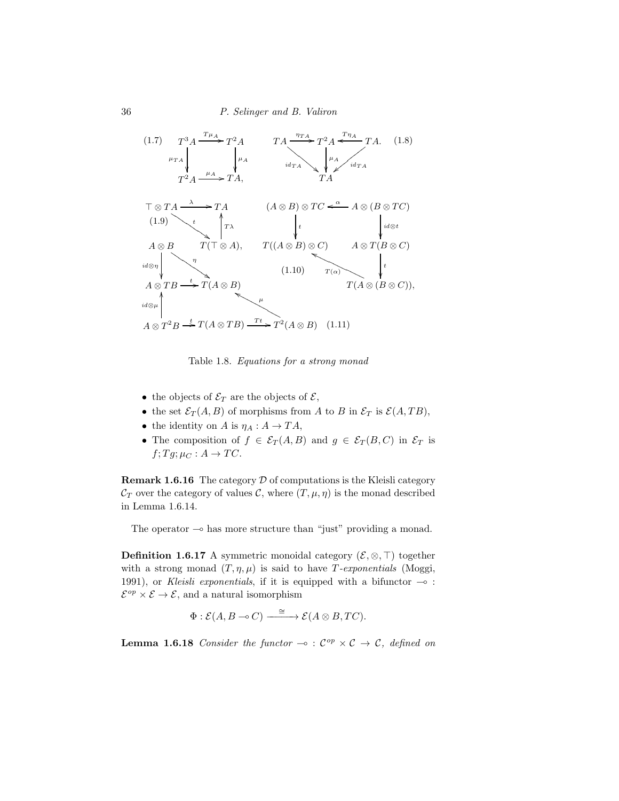

Table 1.8. *Equations for a strong monad*

- the objects of  $\mathcal{E}_T$  are the objects of  $\mathcal{E},$
- the set  $\mathcal{E}_T(A, B)$  of morphisms from A to B in  $\mathcal{E}_T$  is  $\mathcal{E}(A, TB)$ ,
- the identity on A is  $\eta_A : A \to TA$ ,
- The composition of  $f \in \mathcal{E}_T(A,B)$  and  $g \in \mathcal{E}_T(B,C)$  in  $\mathcal{E}_T$  is  $f; Tg; \mu_C: A \to TC.$

**Remark 1.6.16** The category  $D$  of computations is the Kleisli category  $\mathcal{C}_T$  over the category of values  $\mathcal{C}$ , where  $(T, \mu, \eta)$  is the monad described in Lemma 1.6.14.

The operator ⊸ has more structure than "just" providing a monad.

**Definition 1.6.17** A symmetric monoidal category  $(\mathcal{E}, \otimes, \top)$  together with a strong monad  $(T, \eta, \mu)$  is said to have T-exponentials (Moggi, 1991), or *Kleisli exponentials*, if it is equipped with a bifunctor ⊸ :  $\mathcal{E}^{op} \times \mathcal{E} \rightarrow \mathcal{E}$ , and a natural isomorphism

$$
\Phi : \mathcal{E}(A, B \multimap C) \xrightarrow{\cong} \mathcal{E}(A \otimes B, TC).
$$

**Lemma 1.6.18** *Consider the functor*  $\multimap : C^{op} \times C \rightarrow C$ *, defined on*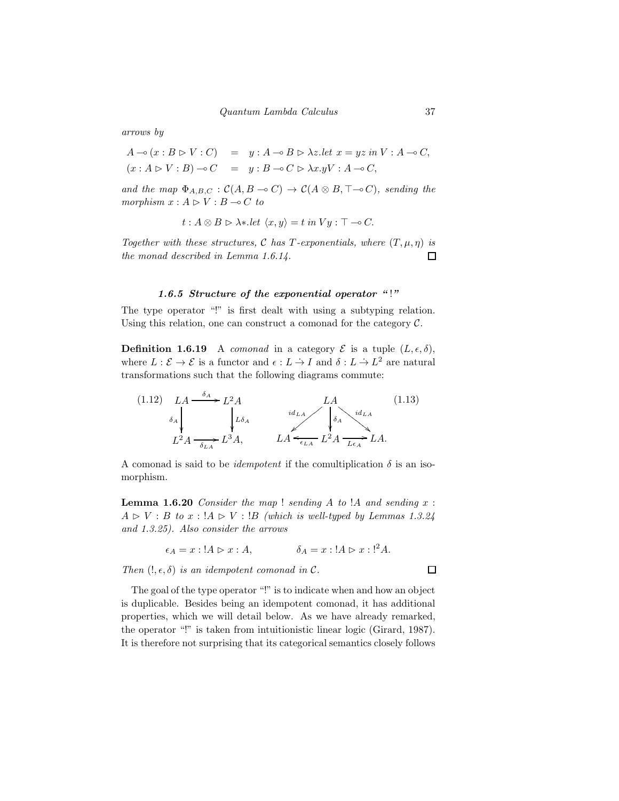*arrows by*

$$
A \rightarrow (x : B \rhd V : C) = y : A \rightarrow B \rhd \lambda z. let x = yz in V : A \rightarrow C,
$$
  

$$
(x : A \rhd V : B) \rightarrow C = y : B \rightarrow C \rhd \lambda x. yV : A \rightarrow C,
$$

*and the map*  $\Phi_{A,B,C} : \mathcal{C}(A, B \multimap C) \to \mathcal{C}(A \otimes B, \top \multimap C)$ *, sending the*  $morphism x : A \triangleright V : B \multimap C$  *to* 

$$
t: A \otimes B \rhd \lambda * . \text{let } \langle x, y \rangle = t \text{ in } Vy : \top \multimap C.
$$

*Together with these structures, C has T*-*exponentials, where*  $(T, \mu, \eta)$  *is the monad described in Lemma 1.6.14. the monad described in Lemma 1.6.14.*

#### *1.6.5 Structure of the exponential operator "* !*"*

The type operator "!" is first dealt with using a subtyping relation. Using this relation, one can construct a comonad for the category  $C$ .

**Definition 1.6.19** A *comonad* in a category  $\mathcal{E}$  is a tuple  $(L, \epsilon, \delta)$ , where  $L : \mathcal{E} \to \mathcal{E}$  is a functor and  $\epsilon : L \to I$  and  $\delta : L \to L^2$  are natural transformations such that the following diagrams commute:

(1.12) 
$$
LA \xrightarrow{\delta_A} L^2 A
$$
  
\n $\delta_A$   
\n $L^2 A \xrightarrow{\delta_{LA}} L^3 A$ ,  $LA \xrightarrow{\mathrm{id}_{LA}} L^2 A \xrightarrow{\mathrm{id}_{LA}} LA$ .  
\n $LA \xrightarrow{\mathrm{id}_{LA}} L^2 A \xrightarrow{\mathrm{id}_{LA}} LA$ .

A comonad is said to be *idempotent* if the comultiplication  $\delta$  is an isomorphism.

Lemma 1.6.20 *Consider the map* ! *sending* A *to* !A *and sending* x :  $A \supset V : B$  *to*  $x : A \supset V : B$  *(which is well-typed by Lemmas 1.3.24 and 1.3.25). Also consider the arrows*

$$
\epsilon_A = x : !A \rhd x : A, \qquad \delta_A = x : !A \rhd x : !^2A.
$$

*Then*  $(l, \epsilon, \delta)$  *is an idempotent comonad in*  $\mathcal{C}$ *.* 

The goal of the type operator "!" is to indicate when and how an object is duplicable. Besides being an idempotent comonad, it has additional properties, which we will detail below. As we have already remarked, the operator "!" is taken from intuitionistic linear logic (Girard, 1987). It is therefore not surprising that its categorical semantics closely follows

 $\Box$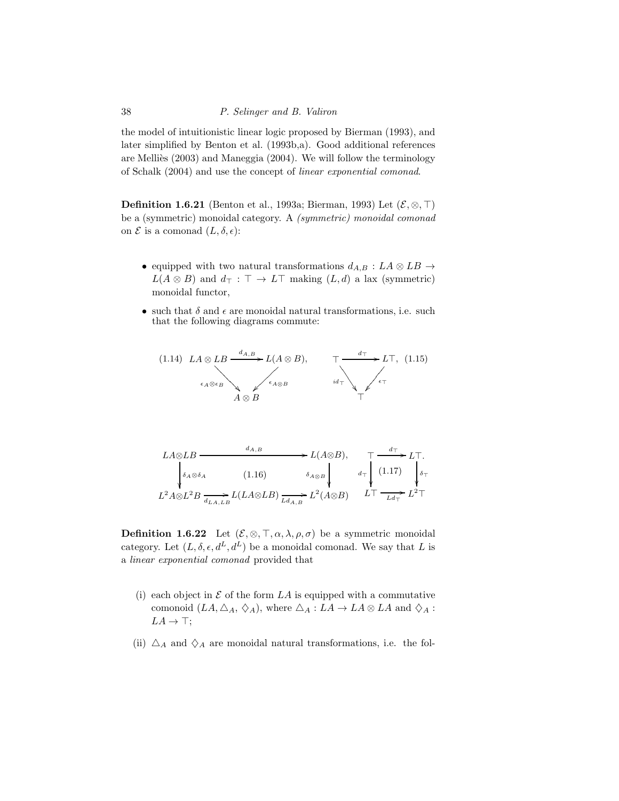the model of intuitionistic linear logic proposed by Bierman (1993), and later simplified by Benton et al. (1993b,a). Good additional references are Melliès  $(2003)$  and Maneggia  $(2004)$ . We will follow the terminology of Schalk (2004) and use the concept of *linear exponential comonad*.

Definition 1.6.21 (Benton et al., 1993a; Bierman, 1993) Let  $(\mathcal{E}, \otimes, \top)$ be a (symmetric) monoidal category. A *(symmetric) monoidal comonad* on  $\mathcal E$  is a comonad  $(L, \delta, \epsilon)$ :

- equipped with two natural transformations  $d_{A,B}: LA \otimes LB \rightarrow$  $L(A \otimes B)$  and  $d_{\top} : \top \to L\top$  making  $(L, d)$  a lax (symmetric) monoidal functor,
- such that  $\delta$  and  $\epsilon$  are monoidal natural transformations, i.e. such that the following diagrams commute:



$$
LA \otimes LB \xrightarrow{d_{A,B}} L(A \otimes B), \qquad \top \xrightarrow{d_{\top}} L \top.
$$
\n
$$
\begin{array}{ccc}\n\downarrow_{\delta_A \otimes \delta_A} & (1.16) & \downarrow_{\delta_{A \otimes B}} \\
L^2 A \otimes L^2 B \xrightarrow[d_{LA,LB} L(LA \otimes LB) \xrightarrow{Ld_{A,B}} L^2(A \otimes B) & L \top \xrightarrow[Ld_{\top}]{\longrightarrow} L^2 \top\n\end{array}
$$

**Definition 1.6.22** Let  $(\mathcal{E}, \otimes, \top, \alpha, \lambda, \rho, \sigma)$  be a symmetric monoidal category. Let  $(L, \delta, \epsilon, d^L, d^L)$  be a monoidal comonad. We say that L is a *linear exponential comonad* provided that

- (i) each object in  $\mathcal E$  of the form  $LA$  is equipped with a commutative comonoid  $(LA, \triangle_A, \diamondsuit_A)$ , where  $\triangle_A : LA \to LA \otimes LA$  and  $\diamondsuit_A :$  $LA \rightarrow \top;$
- (ii)  $\Delta_A$  and  $\Diamond_A$  are monoidal natural transformations, i.e. the fol-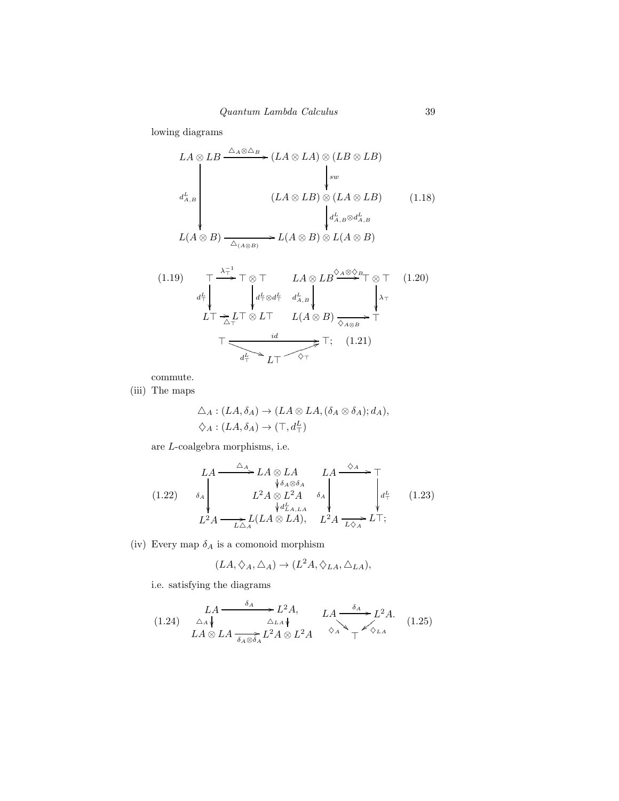lowing diagrams

$$
LA \otimes LB \xrightarrow{\triangle_A \otimes \triangle_B} (LA \otimes LA) \otimes (LB \otimes LB)
$$
\n
$$
d_{A,B}^L
$$
\n
$$
(LA \otimes LB) \otimes (LA \otimes LB)
$$
\n
$$
L(A \otimes B) \xrightarrow{\triangle_{A,B} \otimes d_{A,B}^L} L(A \otimes B) \longrightarrow L(A \otimes B) \otimes L(A \otimes B)
$$
\n
$$
(1.18)
$$

(1.19) 
$$
\mathsf{T} \xrightarrow{ \lambda_{\top}^{-1} } \mathsf{T} \otimes \mathsf{T} \qquad LA \otimes LB^{\Diamond A \otimes \Diamond B} \mathsf{T} \otimes \mathsf{T} \qquad (1.20)
$$

$$
d_{\mathsf{T}}^{L} \downarrow \qquad d_{\mathsf{T}}^{L} \otimes d_{\mathsf{T}}^{L} \qquad d_{\mathsf{A},B}^{L} \downarrow \qquad \qquad \downarrow \lambda_{\mathsf{T}}
$$

$$
LT \xrightarrow{\star} L \mathsf{T} \otimes LT \qquad L(A \otimes B) \xrightarrow{\diamond \qquad \diamond \qquad \searrow} \mathsf{T}
$$

$$
\mathsf{T} \xrightarrow{\qquad id} \qquad \qquad \downarrow \mathsf{T}; \qquad (1.21)
$$

commute.

(iii) The maps

$$
\Delta_A : (LA, \delta_A) \to (LA \otimes LA, (\delta_A \otimes \delta_A); d_A),
$$
  

$$
\diamondsuit_A : (LA, \delta_A) \to (\top, d^L)
$$

are L-coalgebra morphisms, i.e.

$$
(1.22) \quad\n\begin{array}{ccc}\n&LA & \triangle A & LA & \triangle A \\
& & \downarrow \delta_A \otimes \delta_A & \\
& & L^2 A \otimes L^2 A & \delta_A \\
& & \downarrow d_{L_A,LA}^L & \\
& & \downarrow d_{L_A,LA}^L & \\
& & L^2 A & \searrow L^2 A & \\
& & L^2 A & \searrow L^2 A & \\
& & L^2 A & \searrow L^2 A & \\
& & L^2 A & \searrow L^2 A & \\
& & L^2 A & \searrow L^2 A & \\
& & L^2 A & \searrow L^2 A & \\
& & L^2 A & \searrow L^2 A & \\
& & L^2 A & \searrow L^2 A & \\
& & L^2 A & \searrow L^2 A & \\
& & L^2 A & \searrow L^2 A & \\
& & L^2 A & \searrow L^2 A & \\
& & L^2 A & \searrow L^2 A & \\
& & L^2 A & \searrow L^2 A & \\
& & L^2 A & \searrow L^2 A & \\
& & L^2 A & \searrow L^2 A & \\
& & L^2 A & \searrow L^2 A & \\
& & L^2 A & \searrow L^2 A & \\
& & L^2 A & \searrow L^2 A & \\
& & L^2 A & \searrow L^2 A & \\
& & L^2 A & \searrow L^2 A & \\
& & L^2 A & \searrow L^2 A & \\
& & L^2 A & \searrow L^2 A & \\
& & L^2 A & \searrow L^2 A & \\
& & L^2 A & \searrow L^2 A & \\
& & L^2 A & \searrow L^2 A & \\
& & L^2 A & \searrow L^2 A & \\
& & L^2 A & \searrow L^2 A & \\
& & L^2 A & \searrow L
$$

(iv) Every map  $\delta_A$  is a comonoid morphism

$$
(LA, \diamondsuit_A, \triangle_A) \to (L^2A, \diamondsuit_{LA}, \triangle_{LA}),
$$

i.e. satisfying the diagrams

$$
(1.24) \quad\n\begin{array}{ccc}\n&LA \longrightarrow L^2A, & LA \longrightarrow L^2A. \\
&LA \otimes LA & \xrightarrow{\triangle_{AA}} L^2A \otimes L^2A & \wedge^A \longrightarrow L^2A. \\
&LA \otimes LA & \xrightarrow{\triangle_{A} \otimes \delta_A} L^2A \otimes L^2A & \wedge^A \longrightarrow \swarrow \wedge_{LA} \\
& (1.25)\n\end{array}
$$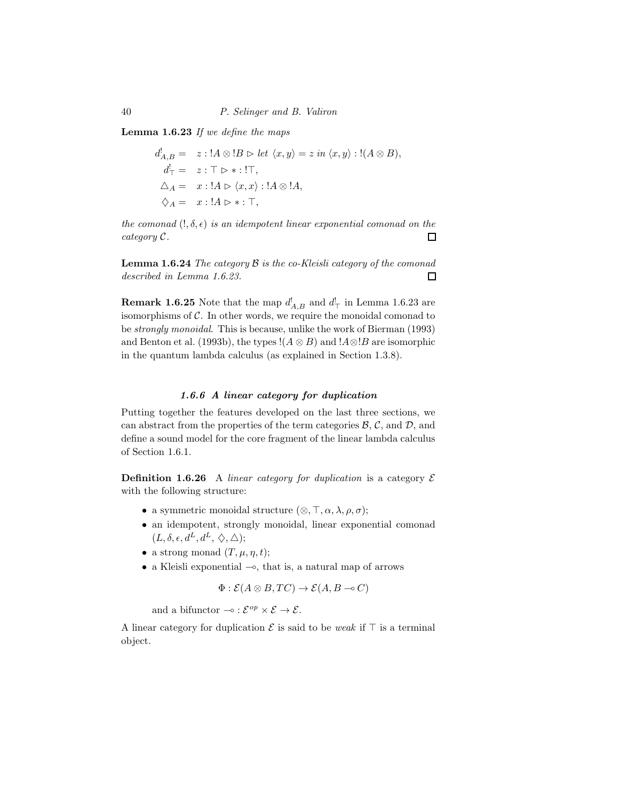Lemma 1.6.23 *If we define the maps*

$$
d_{A,B}^{\dagger} = z : A \otimes B \rhd let \langle x, y \rangle = z \text{ in } \langle x, y \rangle : !(A \otimes B),
$$
  
\n
$$
d_{\top}^{\dagger} = z : \top \rhd * : !\top,
$$
  
\n
$$
\triangle_A = x : !A \rhd \langle x, x \rangle : !A \otimes !A,
$$
  
\n
$$
\diamondsuit_A = x : !A \rhd * : \top,
$$

*the comonad*  $(l, \delta, \epsilon)$  *is an idempotent linear exponential comonad on the category* C*.*  $\Box$ 

**Lemma 1.6.24** *The category B is the co-Kleisli category of the comonad described in Lemma 1.6.23.* □ *described in Lemma 1.6.23.*

**Remark 1.6.25** Note that the map  $d_{A,B}^{\dagger}$  and  $d_{\top}^{\dagger}$  in Lemma 1.6.23 are isomorphisms of  $C$ . In other words, we require the monoidal comonad to be *strongly monoidal*. This is because, unlike the work of Bierman (1993) and Benton et al. (1993b), the types  $!(A \otimes B)$  and  $(A \otimes B)$  are isomorphic in the quantum lambda calculus (as explained in Section 1.3.8).

# *1.6.6 A linear category for duplication*

Putting together the features developed on the last three sections, we can abstract from the properties of the term categories  $\mathcal{B}, \mathcal{C}$ , and  $\mathcal{D}$ , and define a sound model for the core fragment of the linear lambda calculus of Section 1.6.1.

**Definition 1.6.26** A *linear category for duplication* is a category  $\mathcal{E}$ with the following structure:

- a symmetric monoidal structure  $(\otimes, \top, \alpha, \lambda, \rho, \sigma)$ ;
- an idempotent, strongly monoidal, linear exponential comonad  $(L, \delta, \epsilon, d^L, d^L, \diamondsuit, \triangle);$
- a strong monad  $(T, \mu, \eta, t)$ ;
- a Kleisli exponential ⊸, that is, a natural map of arrows

$$
\Phi : \mathcal{E}(A \otimes B, TC) \to \mathcal{E}(A, B \multimap C)
$$

and a bifunctor  $\multimap : \mathcal{E}^{op} \times \mathcal{E} \to \mathcal{E}$ .

A linear category for duplication  $\mathcal E$  is said to be *weak* if  $\top$  is a terminal object.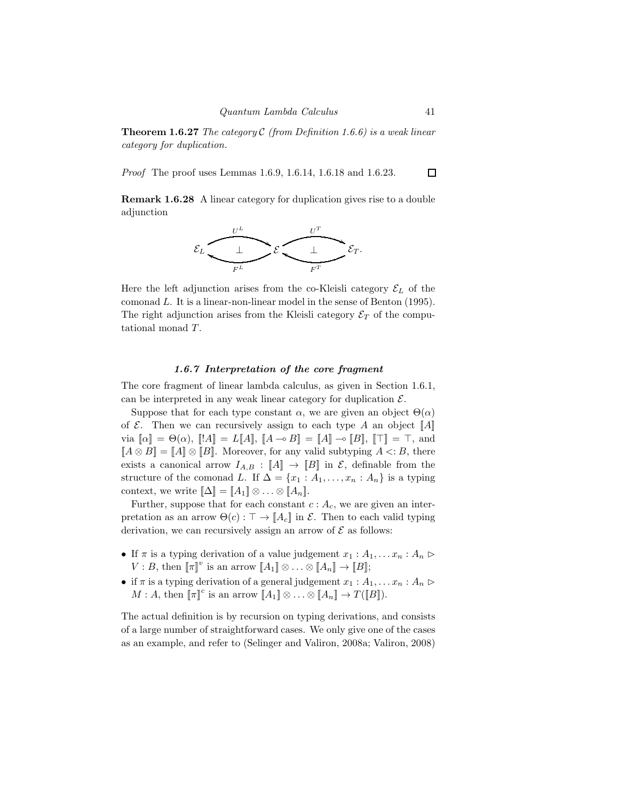**Theorem 1.6.27** *The category*  $C$  *(from Definition 1.6.6) is a weak linear category for duplication.*

*Proof* The proof uses Lemmas 1.6.9, 1.6.14, 1.6.18 and 1.6.23.

Remark 1.6.28 A linear category for duplication gives rise to a double adjunction



Here the left adjunction arises from the co-Kleisli category  $\mathcal{E}_L$  of the comonad L. It is a linear-non-linear model in the sense of Benton (1995). The right adjunction arises from the Kleisli category  $\mathcal{E}_T$  of the computational monad T.

#### *1.6.7 Interpretation of the core fragment*

The core fragment of linear lambda calculus, as given in Section 1.6.1, can be interpreted in any weak linear category for duplication  $\mathcal{E}$ .

Suppose that for each type constant  $\alpha$ , we are given an object  $\Theta(\alpha)$ of  $\mathcal E$ . Then we can recursively assign to each type A an object  $[[A]]$ via  $\llbracket \alpha \rrbracket = \Theta(\alpha)$ ,  $\llbracket !A \rrbracket = L \llbracket A \rrbracket$ ,  $\llbracket A \multimap B \rrbracket = \llbracket A \rrbracket \multimap \llbracket B \rrbracket$ ,  $\llbracket \top \rrbracket = \top$ , and  $[[A \otimes B] = [[A] \otimes [[B]].$  Moreover, for any valid subtyping  $A \leq B$ , there exists a canonical arrow  $I_{A,B} : [\![A]\!] \to [\![B]\!]$  in  $\mathcal{E}$ , definable from the structure of the comonad L. If  $\Delta = \{x_1 : A_1, \ldots, x_n : A_n\}$  is a typing context, we write  $[\![\Delta]\!] = [\![A_1]\!] \otimes \ldots \otimes [ \![A_n]\!]$ .

Further, suppose that for each constant  $c : A_c$ , we are given an interpretation as an arrow  $\Theta(c): \top \to [A_c]$  in  $\mathcal{E}$ . Then to each valid typing derivation, we can recursively assign an arrow of  $\mathcal E$  as follows:

- If  $\pi$  is a typing derivation of a value judgement  $x_1 : A_1, \ldots, x_n : A_n \triangleright$  $V: B$ , then  $[\![\pi]\!]^v$  is an arrow  $[\![A_1]\!] \otimes \ldots \otimes [\![A_n]\!] \to [\![B]\!]$ ;
- if  $\pi$  is a typing derivation of a general judgement  $x_1 : A_1, \ldots, x_n : A_n \rhd$  $M: A$ , then  $[\![\pi]\!]^c$  is an arrow  $[\![A_1]\!] \otimes \ldots \otimes [\![A_n]\!] \to T([\![B]\!]).$

The actual definition is by recursion on typing derivations, and consists of a large number of straightforward cases. We only give one of the cases as an example, and refer to (Selinger and Valiron, 2008a; Valiron, 2008)

 $\Box$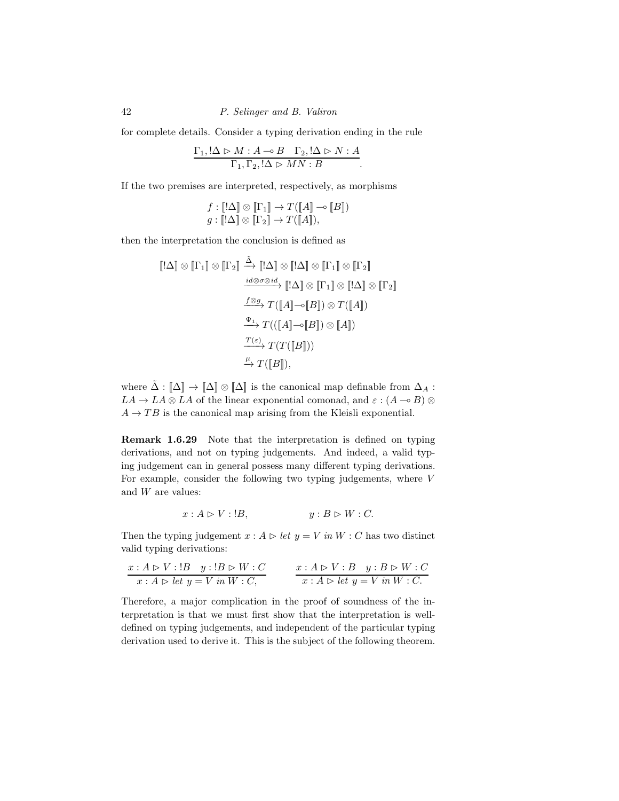for complete details. Consider a typing derivation ending in the rule

$$
\frac{\Gamma_1, \Delta \rhd M : A \multimap B \quad \Gamma_2, \Delta \rhd N : A}{\Gamma_1, \Gamma_2, \Delta \rhd MN : B}.
$$

If the two premises are interpreted, respectively, as morphisms

$$
f: [\![! \Delta]\!] \otimes [\![ \Gamma_1]\!] \to T([\![ A]\!] \multimap [\![ B]\!])
$$
  

$$
g: [\![! \Delta]\!] \otimes [\![ \Gamma_2]\!] \to T([\![ A]\!]),
$$

then the interpretation the conclusion is defined as

$$
\begin{aligned} [\![! \Delta]\!] \otimes [\![ \Gamma_1]\!] \otimes [\![ \Gamma_2]\!] &\xrightarrow{\tilde \Delta} [\![! \Delta]\!] \otimes [\![! \Delta]\!] \otimes [\![ \Gamma_1]\!] \otimes [\![ \Gamma_2]\!] \\ &\xrightarrow{\operatorname{id} \otimes \sigma \otimes \operatorname{id}} [\![! \Delta]\!] \otimes [\![ \Gamma_1]\!] \otimes [\![! \Delta]\!] \otimes [\![ \Gamma_2]\!] \\ &\xrightarrow{\,f \otimes g\,} T([\![ A]\!] \neg [\![ B]\!]) \otimes T([\![ A]\!]) \\ &\xrightarrow{\Psi_1} T(([\![ [ A]\!] \neg [\![ B]\!]) \otimes [\![ A]\!]) \\ &\xrightarrow{\,T(\varepsilon)} T(T([\![ B]\!])) \\ &\xrightarrow{\,H} T([\![ B]\!]), \end{aligned}
$$

where  $\tilde{\Delta} : \llbracket \Delta \rrbracket \to \llbracket \Delta \rrbracket \otimes \llbracket \Delta \rrbracket$  is the canonical map definable from  $\Delta_A$ :  $LA \to LA \otimes LA$  of the linear exponential comonad, and  $\varepsilon : (A \multimap B) \otimes$  $A \rightarrow TB$  is the canonical map arising from the Kleisli exponential.

Remark 1.6.29 Note that the interpretation is defined on typing derivations, and not on typing judgements. And indeed, a valid typing judgement can in general possess many different typing derivations. For example, consider the following two typing judgements, where V and  $\boldsymbol{W}$  are values:

$$
x: A \rhd V : !B, \qquad y: B \rhd W : C.
$$

Then the typing judgement  $x : A \triangleright let y = V$  *in*  $W : C$  has two distinct valid typing derivations:

$$
\frac{x:A \triangleright V: B \quad y: B \triangleright W:C}{x:A \triangleright let y = V \text{ in } W:C}, \qquad \frac{x:A \triangleright V:B \quad y:B \triangleright W:C}{x:A \triangleright let y = V \text{ in } W:C}.
$$

Therefore, a major complication in the proof of soundness of the interpretation is that we must first show that the interpretation is welldefined on typing judgements, and independent of the particular typing derivation used to derive it. This is the subject of the following theorem.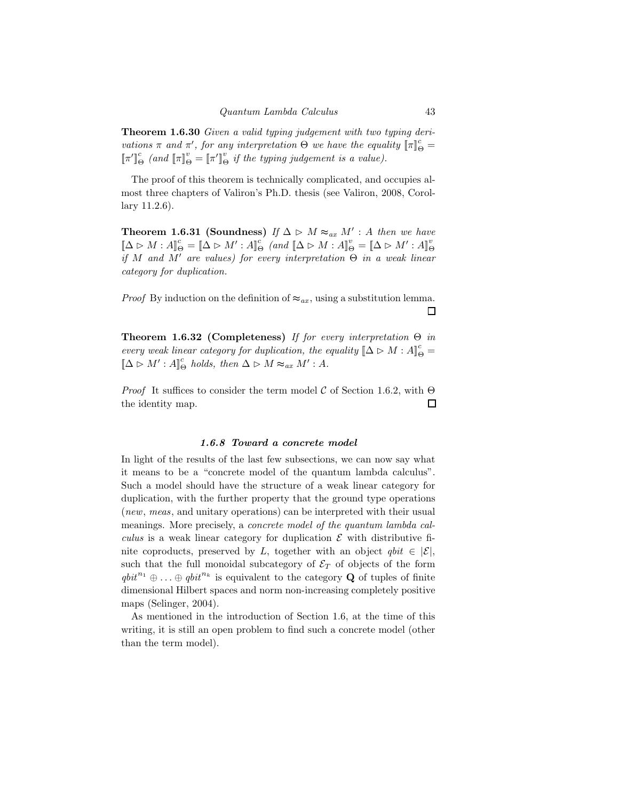Theorem 1.6.30 *Given a valid typing judgement with two typing derivations*  $\pi$  *and*  $\pi'$ , *for any interpretation*  $\Theta$  *we have the equality*  $[\![\pi]\!]_0^c =$  $[\![\pi']\!]_{{\Theta}}^{\circ}$  *(and*  $[\![\pi]\!]_{{\Theta}}^{\circ} = [\![\pi']\!]_{{\Theta}}^{\circ}$  *if the typing judgement is a value).* 

The proof of this theorem is technically complicated, and occupies almost three chapters of Valiron's Ph.D. thesis (see Valiron, 2008, Corollary 11.2.6).

Theorem 1.6.31 (Soundness) *If*  $\Delta \triangleright M \approx_{ax} M'$ : A *then we have*  $[\![\Delta \rhd M : A]\!]_{\Theta}^c = [\![\Delta \rhd M' : A]\!]_{\Theta}^c$  (and  $[\![\Delta \rhd M : A]\!]_{\Theta}^v = [\![\Delta \rhd M' : A]\!]_{\Theta}^v$ *if* M *and* M′ *are values) for every interpretation* Θ *in a weak linear category for duplication.*

*Proof* By induction on the definition of  $\approx_{ax}$ , using a substitution lemma.  $\Box$ 

Theorem 1.6.32 (Completeness) *If for every interpretation* Θ *in every weak linear category for duplication, the equality*  $[\Delta \triangleright M : A]_{\Theta}^c =$  $[\![\Delta \rhd M': A]\!]_{\Theta}^c$  holds, then  $\Delta \rhd M \approx_{ax} M': A$ .

*Proof* It suffices to consider the term model  $\mathcal C$  of Section 1.6.2, with  $\Theta$  the identity map. the identity map.

#### *1.6.8 Toward a concrete model*

In light of the results of the last few subsections, we can now say what it means to be a "concrete model of the quantum lambda calculus". Such a model should have the structure of a weak linear category for duplication, with the further property that the ground type operations (*new*, *meas*, and unitary operations) can be interpreted with their usual meanings. More precisely, a *concrete model of the quantum lambda calculus* is a weak linear category for duplication  $\mathcal E$  with distributive finite coproducts, preserved by L, together with an object  $qbit \in |\mathcal{E}|$ , such that the full monoidal subcategory of  $\mathcal{E}_T$  of objects of the form  $qbit^{n_1} \oplus \ldots \oplus qbit^{n_k}$  is equivalent to the category **Q** of tuples of finite dimensional Hilbert spaces and norm non-increasing completely positive maps (Selinger, 2004).

As mentioned in the introduction of Section 1.6, at the time of this writing, it is still an open problem to find such a concrete model (other than the term model).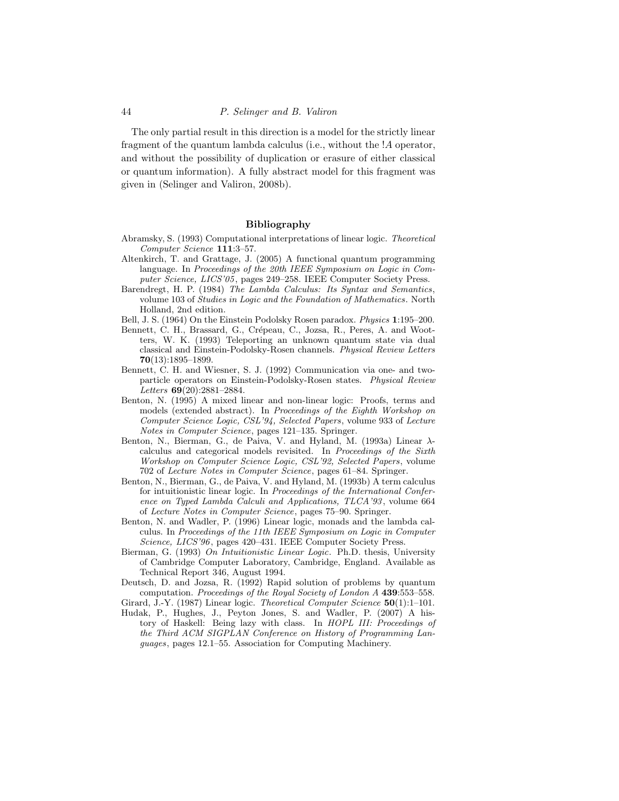The only partial result in this direction is a model for the strictly linear fragment of the quantum lambda calculus (i.e., without the !A operator, and without the possibility of duplication or erasure of either classical or quantum information). A fully abstract model for this fragment was given in (Selinger and Valiron, 2008b).

#### Bibliography

- Abramsky, S. (1993) Computational interpretations of linear logic. *Theoretical Computer Science* 111:3–57.
- Altenkirch, T. and Grattage, J. (2005) A functional quantum programming language. In *Proceedings of the 20th IEEE Symposium on Logic in Computer Science, LICS'05* , pages 249–258. IEEE Computer Society Press.
- Barendregt, H. P. (1984) *The Lambda Calculus: Its Syntax and Semantics*, volume 103 of *Studies in Logic and the Foundation of Mathematics*. North Holland, 2nd edition.
- Bell, J. S. (1964) On the Einstein Podolsky Rosen paradox. *Physics* 1:195–200.
- Bennett, C. H., Brassard, G., Crépeau, C., Jozsa, R., Peres, A. and Wootters, W. K. (1993) Teleporting an unknown quantum state via dual classical and Einstein-Podolsky-Rosen channels. *Physical Review Letters*  $70(13):1895-1899.$
- Bennett, C. H. and Wiesner, S. J. (1992) Communication via one- and twoparticle operators on Einstein-Podolsky-Rosen states. *Physical Review Letters* 69(20):2881–2884.
- Benton, N. (1995) A mixed linear and non-linear logic: Proofs, terms and models (extended abstract). In *Proceedings of the Eighth Workshop on Computer Science Logic, CSL'94, Selected Papers*, volume 933 of *Lecture Notes in Computer Science*, pages 121–135. Springer.
- Benton, N., Bierman, G., de Paiva, V. and Hyland, M. (1993a) Linear  $\lambda$ calculus and categorical models revisited. In *Proceedings of the Sixth Workshop on Computer Science Logic, CSL'92, Selected Papers*, volume 702 of *Lecture Notes in Computer Science*, pages 61–84. Springer.
- Benton, N., Bierman, G., de Paiva, V. and Hyland, M. (1993b) A term calculus for intuitionistic linear logic. In *Proceedings of the International Conference on Typed Lambda Calculi and Applications, TLCA'93* , volume 664 of *Lecture Notes in Computer Science*, pages 75–90. Springer.
- Benton, N. and Wadler, P. (1996) Linear logic, monads and the lambda calculus. In *Proceedings of the 11th IEEE Symposium on Logic in Computer Science, LICS'96* , pages 420–431. IEEE Computer Society Press.
- Bierman, G. (1993) *On Intuitionistic Linear Logic*. Ph.D. thesis, University of Cambridge Computer Laboratory, Cambridge, England. Available as Technical Report 346, August 1994.
- Deutsch, D. and Jozsa, R. (1992) Rapid solution of problems by quantum computation. *Proceedings of the Royal Society of London A* 439:553–558.
- Girard, J.-Y. (1987) Linear logic. *Theoretical Computer Science* 50(1):1–101.
- Hudak, P., Hughes, J., Peyton Jones, S. and Wadler, P. (2007) A history of Haskell: Being lazy with class. In *HOPL III: Proceedings of the Third ACM SIGPLAN Conference on History of Programming Languages*, pages 12.1–55. Association for Computing Machinery.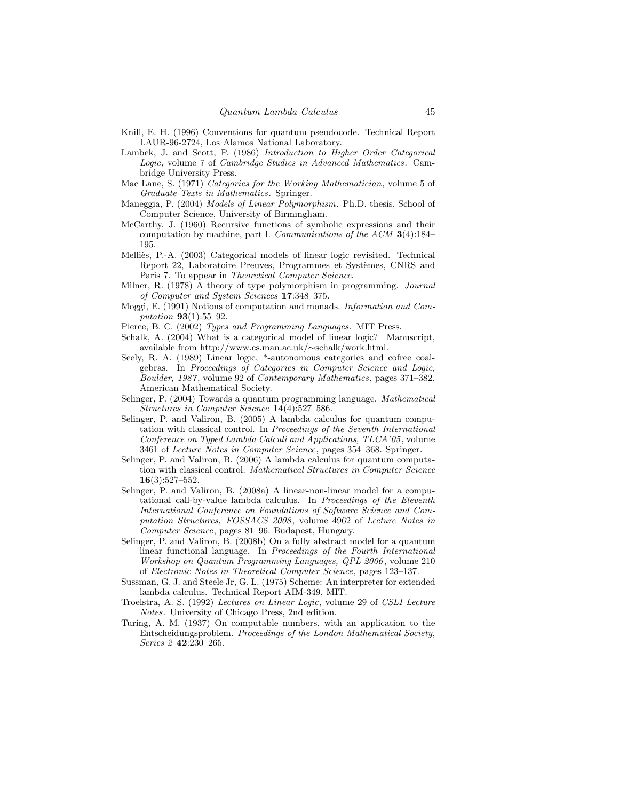- Knill, E. H. (1996) Conventions for quantum pseudocode. Technical Report LAUR-96-2724, Los Alamos National Laboratory.
- Lambek, J. and Scott, P. (1986) *Introduction to Higher Order Categorical Logic*, volume 7 of *Cambridge Studies in Advanced Mathematics*. Cambridge University Press.
- Mac Lane, S. (1971) *Categories for the Working Mathematician*, volume 5 of *Graduate Texts in Mathematics*. Springer.
- Maneggia, P. (2004) *Models of Linear Polymorphism*. Ph.D. thesis, School of Computer Science, University of Birmingham.
- McCarthy, J. (1960) Recursive functions of symbolic expressions and their computation by machine, part I. *Communications of the ACM* 3(4):184– 195.
- Melliès, P.-A. (2003) Categorical models of linear logic revisited. Technical Report 22, Laboratoire Preuves, Programmes et Systèmes, CNRS and Paris 7. To appear in *Theoretical Computer Science*.
- Milner, R. (1978) A theory of type polymorphism in programming. *Journal of Computer and System Sciences* 17:348–375.
- Moggi, E. (1991) Notions of computation and monads. *Information and Computation* 93(1):55–92.
- Pierce, B. C. (2002) *Types and Programming Languages*. MIT Press.
- Schalk, A. (2004) What is a categorical model of linear logic? Manuscript, available from http://www.cs.man.ac.uk/∼schalk/work.html.
- Seely, R. A. (1989) Linear logic, \*-autonomous categories and cofree coalgebras. In *Proceedings of Categories in Computer Science and Logic, Boulder, 1987* , volume 92 of *Contemporary Mathematics*, pages 371–382. American Mathematical Society.
- Selinger, P. (2004) Towards a quantum programming language. *Mathematical Structures in Computer Science* 14(4):527–586.
- Selinger, P. and Valiron, B. (2005) A lambda calculus for quantum computation with classical control. In *Proceedings of the Seventh International Conference on Typed Lambda Calculi and Applications, TLCA'05* , volume 3461 of *Lecture Notes in Computer Science*, pages 354–368. Springer.
- Selinger, P. and Valiron, B. (2006) A lambda calculus for quantum computation with classical control. *Mathematical Structures in Computer Science* 16(3):527–552.
- Selinger, P. and Valiron, B. (2008a) A linear-non-linear model for a computational call-by-value lambda calculus. In *Proceedings of the Eleventh International Conference on Foundations of Software Science and Computation Structures, FOSSACS 2008* , volume 4962 of *Lecture Notes in Computer Science*, pages 81–96. Budapest, Hungary.
- Selinger, P. and Valiron, B. (2008b) On a fully abstract model for a quantum linear functional language. In *Proceedings of the Fourth International Workshop on Quantum Programming Languages, QPL 2006* , volume 210 of *Electronic Notes in Theoretical Computer Science*, pages 123–137.
- Sussman, G. J. and Steele Jr, G. L. (1975) Scheme: An interpreter for extended lambda calculus. Technical Report AIM-349, MIT.
- Troelstra, A. S. (1992) *Lectures on Linear Logic*, volume 29 of *CSLI Lecture Notes*. University of Chicago Press, 2nd edition.
- Turing, A. M. (1937) On computable numbers, with an application to the Entscheidungsproblem. *Proceedings of the London Mathematical Society, Series 2* 42:230–265.